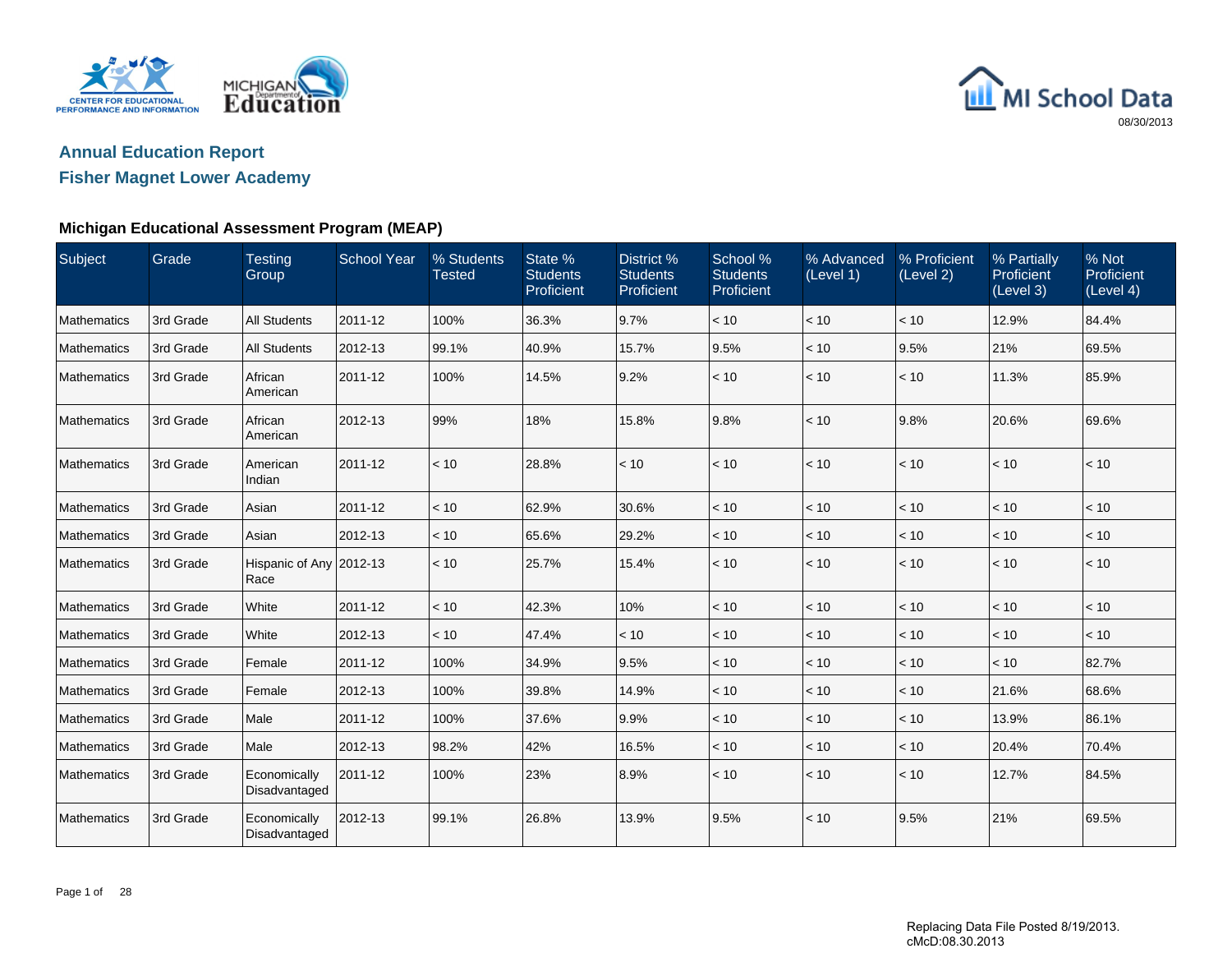



### **Fisher Magnet Lower Academy**

### **Michigan Educational Assessment Program (MEAP)**

| Subject            | Grade     | <b>Testing</b><br>Group         | <b>School Year</b> | % Students<br><b>Tested</b> | State %<br><b>Students</b><br>Proficient | District %<br><b>Students</b><br>Proficient | School %<br><b>Students</b><br>Proficient | % Advanced<br>(Level 1) | % Proficient<br>(Level 2) | % Partially<br>Proficient<br>(Level 3) | % Not<br>Proficient<br>(Level 4) |
|--------------------|-----------|---------------------------------|--------------------|-----------------------------|------------------------------------------|---------------------------------------------|-------------------------------------------|-------------------------|---------------------------|----------------------------------------|----------------------------------|
| Mathematics        | 3rd Grade | <b>All Students</b>             | 2011-12            | 100%                        | 36.3%                                    | 9.7%                                        | < 10                                      | < 10                    | < 10                      | 12.9%                                  | 84.4%                            |
| Mathematics        | 3rd Grade | <b>All Students</b>             | 2012-13            | 99.1%                       | 40.9%                                    | 15.7%                                       | 9.5%                                      | < 10                    | 9.5%                      | 21%                                    | 69.5%                            |
| Mathematics        | 3rd Grade | African<br>American             | 2011-12            | 100%                        | 14.5%                                    | 9.2%                                        | < 10                                      | < 10                    | < 10                      | 11.3%                                  | 85.9%                            |
| Mathematics        | 3rd Grade | African<br>American             | 2012-13            | 99%                         | 18%                                      | 15.8%                                       | 9.8%                                      | < 10                    | 9.8%                      | 20.6%                                  | 69.6%                            |
| Mathematics        | 3rd Grade | American<br>Indian              | 2011-12            | < 10                        | 28.8%                                    | < 10                                        | < 10                                      | < 10                    | < 10                      | < 10                                   | < 10                             |
| Mathematics        | 3rd Grade | Asian                           | 2011-12            | < 10                        | 62.9%                                    | 30.6%                                       | < 10                                      | < 10                    | < 10                      | < 10                                   | < 10                             |
| Mathematics        | 3rd Grade | Asian                           | 2012-13            | < 10                        | 65.6%                                    | 29.2%                                       | < 10                                      | < 10                    | < 10                      | < 10                                   | < 10                             |
| Mathematics        | 3rd Grade | Hispanic of Any 2012-13<br>Race |                    | < 10                        | 25.7%                                    | 15.4%                                       | < 10                                      | < 10                    | < 10                      | < 10                                   | < 10                             |
| Mathematics        | 3rd Grade | White                           | 2011-12            | < 10                        | 42.3%                                    | 10%                                         | < 10                                      | < 10                    | < 10                      | $<10$                                  | < 10                             |
| Mathematics        | 3rd Grade | White                           | 2012-13            | < 10                        | 47.4%                                    | < 10                                        | < 10                                      | < 10                    | < 10                      | < 10                                   | < 10                             |
| <b>Mathematics</b> | 3rd Grade | Female                          | 2011-12            | 100%                        | 34.9%                                    | 9.5%                                        | < 10                                      | < 10                    | < 10                      | < 10                                   | 82.7%                            |
| Mathematics        | 3rd Grade | Female                          | 2012-13            | 100%                        | 39.8%                                    | 14.9%                                       | < 10                                      | < 10                    | < 10                      | 21.6%                                  | 68.6%                            |
| <b>Mathematics</b> | 3rd Grade | Male                            | 2011-12            | 100%                        | 37.6%                                    | 9.9%                                        | < 10                                      | < 10                    | < 10                      | 13.9%                                  | 86.1%                            |
| Mathematics        | 3rd Grade | Male                            | 2012-13            | 98.2%                       | 42%                                      | 16.5%                                       | < 10                                      | < 10                    | < 10                      | 20.4%                                  | 70.4%                            |
| Mathematics        | 3rd Grade | Economically<br>Disadvantaged   | 2011-12            | 100%                        | 23%                                      | 8.9%                                        | < 10                                      | < 10                    | < 10                      | 12.7%                                  | 84.5%                            |
| Mathematics        | 3rd Grade | Economically<br>Disadvantaged   | 2012-13            | 99.1%                       | 26.8%                                    | 13.9%                                       | 9.5%                                      | < 10                    | 9.5%                      | 21%                                    | 69.5%                            |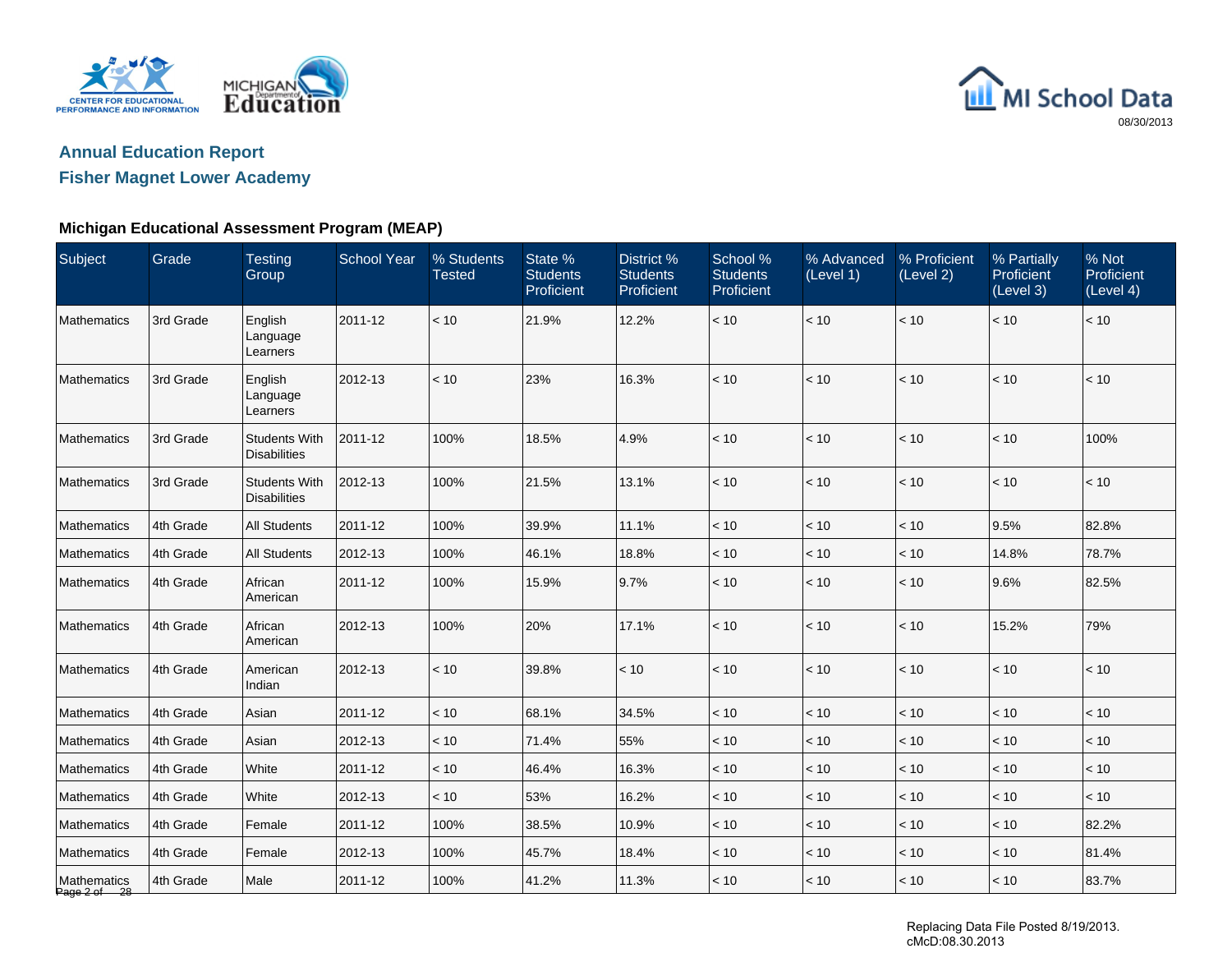



## **Fisher Magnet Lower Academy**

### **Michigan Educational Assessment Program (MEAP)**

| Subject                     | Grade     | <b>Testing</b><br>Group                     | <b>School Year</b> | % Students<br><b>Tested</b> | State %<br><b>Students</b><br>Proficient | District %<br><b>Students</b><br>Proficient | School %<br><b>Students</b><br>Proficient | % Advanced<br>(Level 1) | % Proficient<br>(Level 2) | % Partially<br><b>Proficient</b><br>(Level 3) | % Not<br>Proficient<br>(Level 4) |
|-----------------------------|-----------|---------------------------------------------|--------------------|-----------------------------|------------------------------------------|---------------------------------------------|-------------------------------------------|-------------------------|---------------------------|-----------------------------------------------|----------------------------------|
| Mathematics                 | 3rd Grade | English<br>Language<br>Learners             | 2011-12            | < 10                        | 21.9%                                    | 12.2%                                       | $<10$                                     | < 10                    | $<10$                     | $<10$                                         | < 10                             |
| Mathematics                 | 3rd Grade | English<br>Language<br>Learners             | 2012-13            | < 10                        | 23%                                      | 16.3%                                       | < 10                                      | < 10                    | $<10$                     | < 10                                          | < 10                             |
| Mathematics                 | 3rd Grade | <b>Students With</b><br><b>Disabilities</b> | 2011-12            | 100%                        | 18.5%                                    | 4.9%                                        | < 10                                      | < 10                    | < 10                      | < 10                                          | 100%                             |
| Mathematics                 | 3rd Grade | <b>Students With</b><br><b>Disabilities</b> | 2012-13            | 100%                        | 21.5%                                    | 13.1%                                       | < 10                                      | < 10                    | < 10                      | < 10                                          | < 10                             |
| Mathematics                 | 4th Grade | <b>All Students</b>                         | 2011-12            | 100%                        | 39.9%                                    | 11.1%                                       | < 10                                      | < 10                    | < 10                      | 9.5%                                          | 82.8%                            |
| Mathematics                 | 4th Grade | <b>All Students</b>                         | 2012-13            | 100%                        | 46.1%                                    | 18.8%                                       | < 10                                      | < 10                    | < 10                      | 14.8%                                         | 78.7%                            |
| Mathematics                 | 4th Grade | African<br>American                         | 2011-12            | 100%                        | 15.9%                                    | 9.7%                                        | < 10                                      | < 10                    | $<10$                     | 9.6%                                          | 82.5%                            |
| Mathematics                 | 4th Grade | African<br>American                         | 2012-13            | 100%                        | 20%                                      | 17.1%                                       | < 10                                      | < 10                    | $<10$                     | 15.2%                                         | 79%                              |
| Mathematics                 | 4th Grade | American<br>Indian                          | 2012-13            | < 10                        | 39.8%                                    | < 10                                        | < 10                                      | < 10                    | < 10                      | < 10                                          | < 10                             |
| Mathematics                 | 4th Grade | Asian                                       | 2011-12            | < 10                        | 68.1%                                    | 34.5%                                       | $<10$                                     | < 10                    | $<10$                     | < 10                                          | < 10                             |
| Mathematics                 | 4th Grade | Asian                                       | 2012-13            | < 10                        | 71.4%                                    | 55%                                         | < 10                                      | < 10                    | < 10                      | < 10                                          | < 10                             |
| Mathematics                 | 4th Grade | White                                       | 2011-12            | < 10                        | 46.4%                                    | 16.3%                                       | < 10                                      | < 10                    | < 10                      | < 10                                          | $<10$                            |
| Mathematics                 | 4th Grade | White                                       | 2012-13            | < 10                        | 53%                                      | 16.2%                                       | < 10                                      | < 10                    | < 10                      | < 10                                          | < 10                             |
| Mathematics                 | 4th Grade | Female                                      | 2011-12            | 100%                        | 38.5%                                    | 10.9%                                       | < 10                                      | < 10                    | < 10                      | < 10                                          | 82.2%                            |
| Mathematics                 | 4th Grade | Female                                      | 2012-13            | 100%                        | 45.7%                                    | 18.4%                                       | < 10                                      | < 10                    | < 10                      | < 10                                          | 81.4%                            |
| Mathematics<br>Page 2 of 28 | 4th Grade | Male                                        | 2011-12            | 100%                        | 41.2%                                    | 11.3%                                       | < 10                                      | < 10                    | < 10                      | $<10$                                         | 83.7%                            |

Replacing Data File Posted 8/19/2013. cMcD:08.30.2013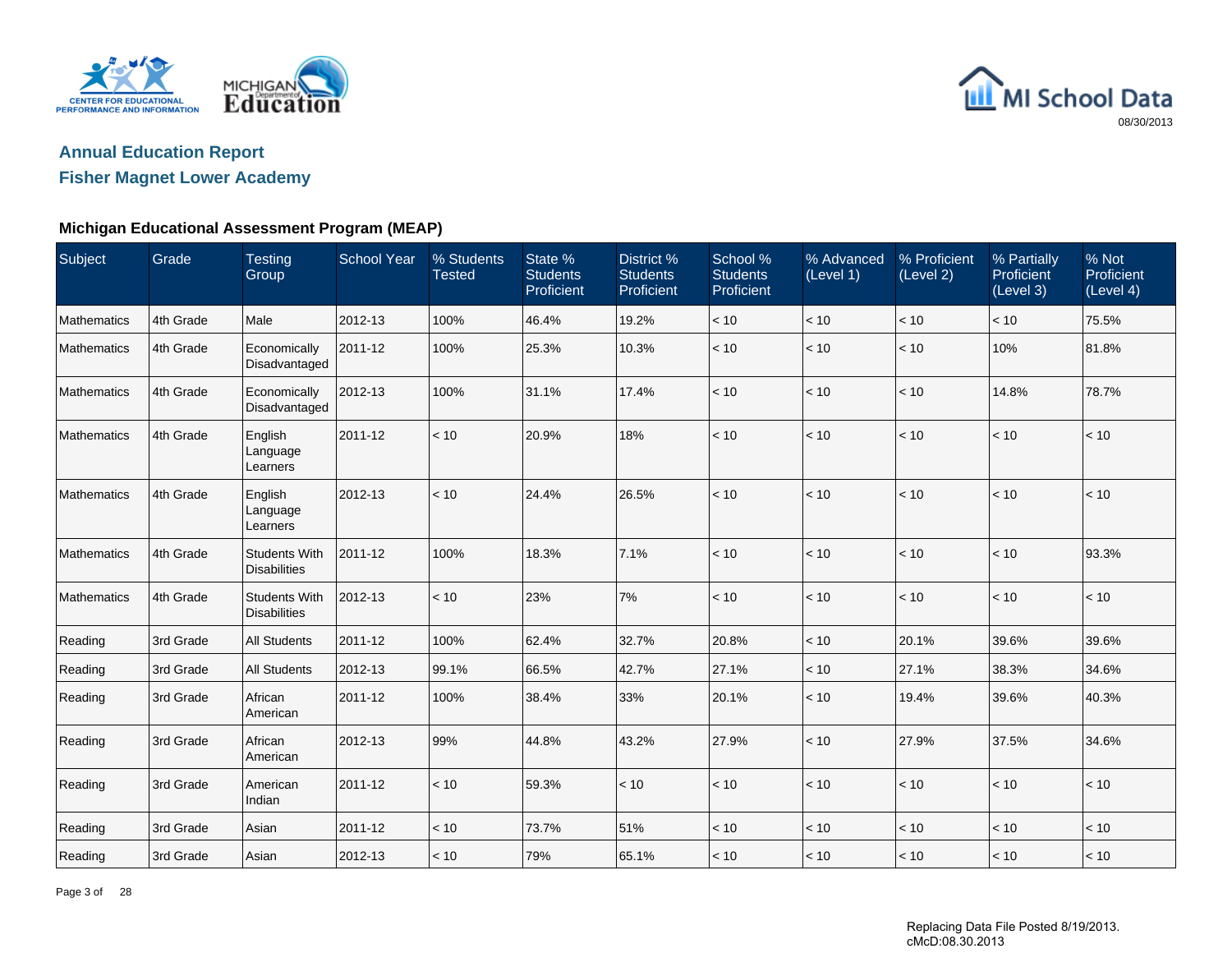



### **Fisher Magnet Lower Academy**

### **Michigan Educational Assessment Program (MEAP)**

| Subject     | Grade     | <b>Testing</b><br>Group                     | <b>School Year</b> | % Students<br><b>Tested</b> | State %<br><b>Students</b><br>Proficient | District %<br><b>Students</b><br>Proficient | School %<br><b>Students</b><br>Proficient | % Advanced<br>(Level 1) | % Proficient<br>(Level 2) | % Partially<br>Proficient<br>(Level 3) | % Not<br>Proficient<br>(Level 4) |
|-------------|-----------|---------------------------------------------|--------------------|-----------------------------|------------------------------------------|---------------------------------------------|-------------------------------------------|-------------------------|---------------------------|----------------------------------------|----------------------------------|
| Mathematics | 4th Grade | Male                                        | 2012-13            | 100%                        | 46.4%                                    | 19.2%                                       | < 10                                      | < 10                    | < 10                      | < 10                                   | 75.5%                            |
| Mathematics | 4th Grade | Economically<br>Disadvantaged               | 2011-12            | 100%                        | 25.3%                                    | 10.3%                                       | < 10                                      | $<10$                   | < 10                      | 10%                                    | 81.8%                            |
| Mathematics | 4th Grade | Economically<br>Disadvantaged               | 2012-13            | 100%                        | 31.1%                                    | 17.4%                                       | < 10                                      | < 10                    | < 10                      | 14.8%                                  | 78.7%                            |
| Mathematics | 4th Grade | English<br>Language<br>Learners             | 2011-12            | < 10                        | 20.9%                                    | 18%                                         | < 10                                      | $<10$                   | $<10$                     | < 10                                   | $<10$                            |
| Mathematics | 4th Grade | English<br>Language<br>Learners             | 2012-13            | < 10                        | 24.4%                                    | 26.5%                                       | < 10                                      | < 10                    | < 10                      | < 10                                   | < 10                             |
| Mathematics | 4th Grade | <b>Students With</b><br><b>Disabilities</b> | 2011-12            | 100%                        | 18.3%                                    | 7.1%                                        | $<10$                                     | $<10$                   | $<10$                     | < 10                                   | 93.3%                            |
| Mathematics | 4th Grade | <b>Students With</b><br><b>Disabilities</b> | 2012-13            | < 10                        | 23%                                      | 7%                                          | < 10                                      | < 10                    | < 10                      | < 10                                   | < 10                             |
| Reading     | 3rd Grade | <b>All Students</b>                         | 2011-12            | 100%                        | 62.4%                                    | 32.7%                                       | 20.8%                                     | < 10                    | 20.1%                     | 39.6%                                  | 39.6%                            |
| Reading     | 3rd Grade | <b>All Students</b>                         | 2012-13            | 99.1%                       | 66.5%                                    | 42.7%                                       | 27.1%                                     | < 10                    | 27.1%                     | 38.3%                                  | 34.6%                            |
| Reading     | 3rd Grade | African<br>American                         | 2011-12            | 100%                        | 38.4%                                    | 33%                                         | 20.1%                                     | < 10                    | 19.4%                     | 39.6%                                  | 40.3%                            |
| Reading     | 3rd Grade | African<br>American                         | 2012-13            | 99%                         | 44.8%                                    | 43.2%                                       | 27.9%                                     | < 10                    | 27.9%                     | 37.5%                                  | 34.6%                            |
| Reading     | 3rd Grade | American<br>Indian                          | 2011-12            | < 10                        | 59.3%                                    | < 10                                        | < 10                                      | < 10                    | < 10                      | < 10                                   | < 10                             |
| Reading     | 3rd Grade | Asian                                       | 2011-12            | < 10                        | 73.7%                                    | 51%                                         | < 10                                      | $<10$                   | < 10                      | < 10                                   | < 10                             |
| Reading     | 3rd Grade | Asian                                       | 2012-13            | < 10                        | 79%                                      | 65.1%                                       | < 10                                      | < 10                    | < 10                      | < 10                                   | < 10                             |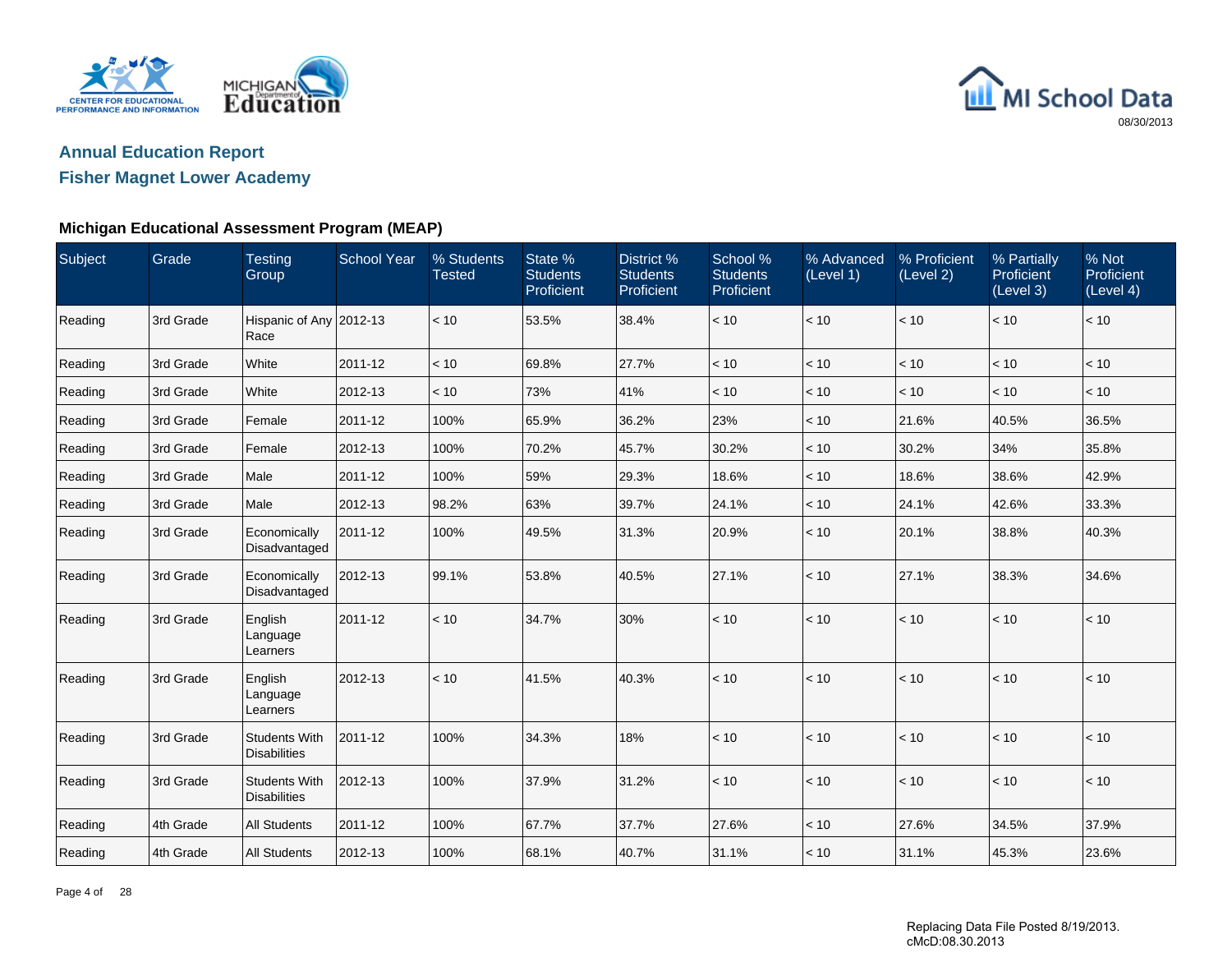



### **Fisher Magnet Lower Academy**

### **Michigan Educational Assessment Program (MEAP)**

| Subject | Grade     | <b>Testing</b><br>Group                     | <b>School Year</b> | % Students<br><b>Tested</b> | State %<br><b>Students</b><br>Proficient | District %<br><b>Students</b><br><b>Proficient</b> | School %<br><b>Students</b><br>Proficient | % Advanced<br>(Level 1) | % Proficient<br>(Level 2) | % Partially<br>Proficient<br>(Level 3) | % Not<br>Proficient<br>(Level 4) |
|---------|-----------|---------------------------------------------|--------------------|-----------------------------|------------------------------------------|----------------------------------------------------|-------------------------------------------|-------------------------|---------------------------|----------------------------------------|----------------------------------|
| Reading | 3rd Grade | Hispanic of Any 2012-13<br>Race             |                    | < 10                        | 53.5%                                    | 38.4%                                              | < 10                                      | < 10                    | < 10                      | < 10                                   | < 10                             |
| Reading | 3rd Grade | White                                       | 2011-12            | < 10                        | 69.8%                                    | 27.7%                                              | < 10                                      | < 10                    | < 10                      | < 10                                   | < 10                             |
| Reading | 3rd Grade | White                                       | 2012-13            | < 10                        | 73%                                      | 41%                                                | < 10                                      | < 10                    | < 10                      | < 10                                   | < 10                             |
| Reading | 3rd Grade | Female                                      | 2011-12            | 100%                        | 65.9%                                    | 36.2%                                              | 23%                                       | < 10                    | 21.6%                     | 40.5%                                  | 36.5%                            |
| Reading | 3rd Grade | Female                                      | 2012-13            | 100%                        | 70.2%                                    | 45.7%                                              | 30.2%                                     | < 10                    | 30.2%                     | 34%                                    | 35.8%                            |
| Reading | 3rd Grade | Male                                        | 2011-12            | 100%                        | 59%                                      | 29.3%                                              | 18.6%                                     | < 10                    | 18.6%                     | 38.6%                                  | 42.9%                            |
| Reading | 3rd Grade | Male                                        | 2012-13            | 98.2%                       | 63%                                      | 39.7%                                              | 24.1%                                     | < 10                    | 24.1%                     | 42.6%                                  | 33.3%                            |
| Reading | 3rd Grade | Economically<br>Disadvantaged               | 2011-12            | 100%                        | 49.5%                                    | 31.3%                                              | 20.9%                                     | < 10                    | 20.1%                     | 38.8%                                  | 40.3%                            |
| Reading | 3rd Grade | Economically<br>Disadvantaged               | 2012-13            | 99.1%                       | 53.8%                                    | 40.5%                                              | 27.1%                                     | < 10                    | 27.1%                     | 38.3%                                  | 34.6%                            |
| Reading | 3rd Grade | English<br>Language<br>Learners             | 2011-12            | < 10                        | 34.7%                                    | 30%                                                | < 10                                      | < 10                    | $<10$                     | $<10$                                  | < 10                             |
| Reading | 3rd Grade | English<br>Language<br>Learners             | 2012-13            | < 10                        | 41.5%                                    | 40.3%                                              | < 10                                      | < 10                    | < 10                      | < 10                                   | < 10                             |
| Reading | 3rd Grade | <b>Students With</b><br><b>Disabilities</b> | 2011-12            | 100%                        | 34.3%                                    | 18%                                                | < 10                                      | < 10                    | < 10                      | < 10                                   | < 10                             |
| Reading | 3rd Grade | <b>Students With</b><br><b>Disabilities</b> | 2012-13            | 100%                        | 37.9%                                    | 31.2%                                              | < 10                                      | < 10                    | < 10                      | < 10                                   | < 10                             |
| Reading | 4th Grade | <b>All Students</b>                         | 2011-12            | 100%                        | 67.7%                                    | 37.7%                                              | 27.6%                                     | < 10                    | 27.6%                     | 34.5%                                  | 37.9%                            |
| Reading | 4th Grade | <b>All Students</b>                         | 2012-13            | 100%                        | 68.1%                                    | 40.7%                                              | 31.1%                                     | < 10                    | 31.1%                     | 45.3%                                  | 23.6%                            |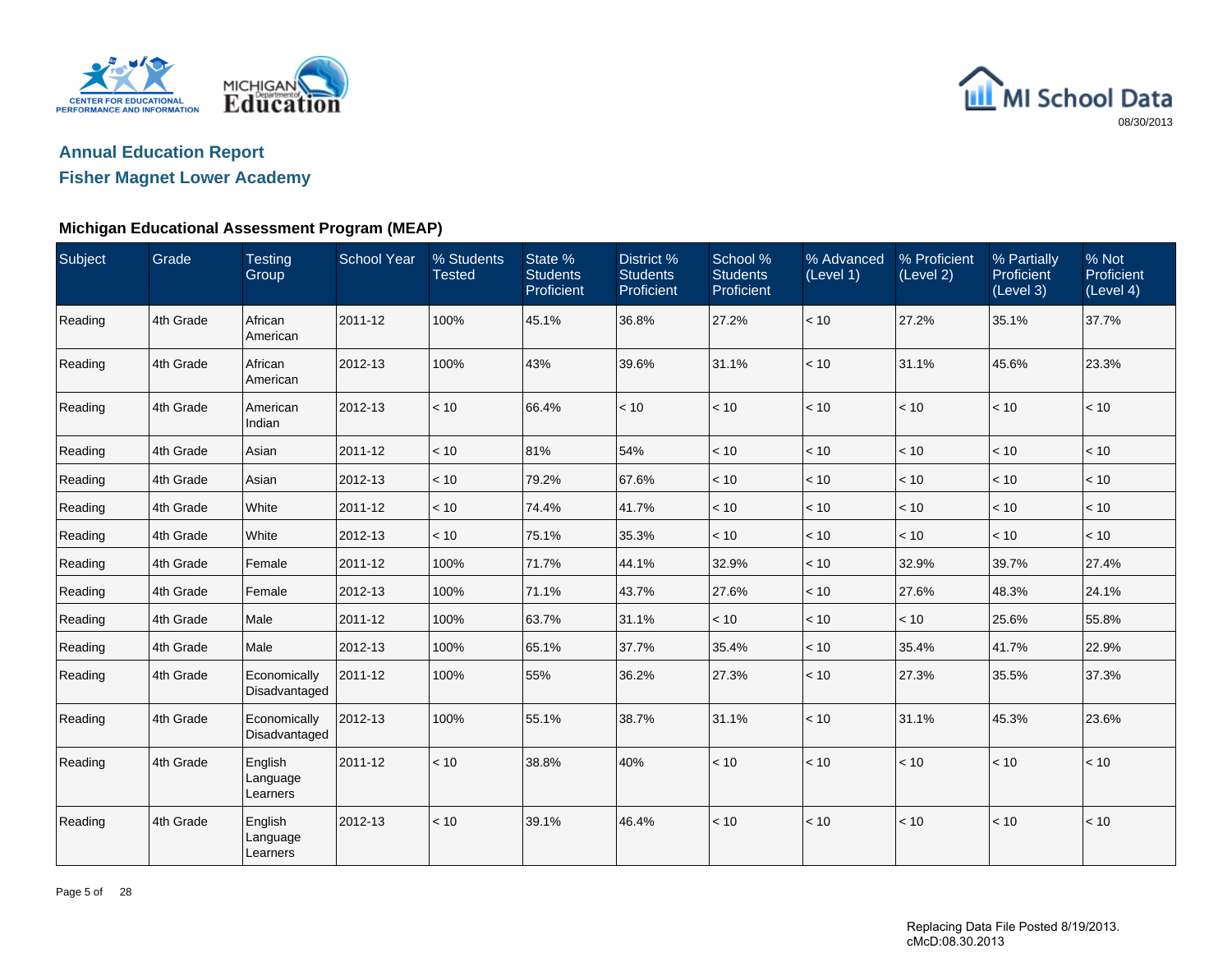



## **Fisher Magnet Lower Academy**

### **Michigan Educational Assessment Program (MEAP)**

| Subject | Grade     | <b>Testing</b><br>Group         | <b>School Year</b> | % Students<br><b>Tested</b> | State %<br><b>Students</b><br>Proficient | District %<br><b>Students</b><br>Proficient | School %<br><b>Students</b><br>Proficient | % Advanced<br>(Level 1) | % Proficient<br>(Level 2) | % Partially<br>Proficient<br>(Level 3) | % Not<br>Proficient<br>(Level 4) |
|---------|-----------|---------------------------------|--------------------|-----------------------------|------------------------------------------|---------------------------------------------|-------------------------------------------|-------------------------|---------------------------|----------------------------------------|----------------------------------|
| Reading | 4th Grade | African<br>American             | 2011-12            | 100%                        | 45.1%                                    | 36.8%                                       | 27.2%                                     | < 10                    | 27.2%                     | 35.1%                                  | 37.7%                            |
| Reading | 4th Grade | African<br>American             | 2012-13            | 100%                        | 43%                                      | 39.6%                                       | 31.1%                                     | < 10                    | 31.1%                     | 45.6%                                  | 23.3%                            |
| Reading | 4th Grade | American<br>Indian              | 2012-13            | < 10                        | 66.4%                                    | < 10                                        | < 10                                      | < 10                    | < 10                      | < 10                                   | < 10                             |
| Reading | 4th Grade | Asian                           | 2011-12            | < 10                        | 81%                                      | 54%                                         | < 10                                      | $<10$                   | $<10$                     | $<10$                                  | < 10                             |
| Reading | 4th Grade | Asian                           | 2012-13            | < 10                        | 79.2%                                    | 67.6%                                       | < 10                                      | < 10                    | < 10                      | < 10                                   | < 10                             |
| Reading | 4th Grade | White                           | 2011-12            | < 10                        | 74.4%                                    | 41.7%                                       | < 10                                      | $<10$                   | < 10                      | $<10$                                  | < 10                             |
| Reading | 4th Grade | White                           | 2012-13            | < 10                        | 75.1%                                    | 35.3%                                       | < 10                                      | < 10                    | < 10                      | < 10                                   | < 10                             |
| Reading | 4th Grade | Female                          | 2011-12            | 100%                        | 71.7%                                    | 44.1%                                       | 32.9%                                     | < 10                    | 32.9%                     | 39.7%                                  | 27.4%                            |
| Reading | 4th Grade | Female                          | 2012-13            | 100%                        | 71.1%                                    | 43.7%                                       | 27.6%                                     | < 10                    | 27.6%                     | 48.3%                                  | 24.1%                            |
| Reading | 4th Grade | Male                            | 2011-12            | 100%                        | 63.7%                                    | 31.1%                                       | < 10                                      | < 10                    | < 10                      | 25.6%                                  | 55.8%                            |
| Reading | 4th Grade | Male                            | 2012-13            | 100%                        | 65.1%                                    | 37.7%                                       | 35.4%                                     | < 10                    | 35.4%                     | 41.7%                                  | 22.9%                            |
| Reading | 4th Grade | Economically<br>Disadvantaged   | 2011-12            | 100%                        | 55%                                      | 36.2%                                       | 27.3%                                     | < 10                    | 27.3%                     | 35.5%                                  | 37.3%                            |
| Reading | 4th Grade | Economically<br>Disadvantaged   | 2012-13            | 100%                        | 55.1%                                    | 38.7%                                       | 31.1%                                     | < 10                    | 31.1%                     | 45.3%                                  | 23.6%                            |
| Reading | 4th Grade | English<br>Language<br>Learners | 2011-12            | < 10                        | 38.8%                                    | 40%                                         | < 10                                      | < 10                    | < 10                      | < 10                                   | < 10                             |
| Reading | 4th Grade | English<br>Language<br>Learners | 2012-13            | < 10                        | 39.1%                                    | 46.4%                                       | < 10                                      | < 10                    | < 10                      | < 10                                   | < 10                             |

Page 5 of 28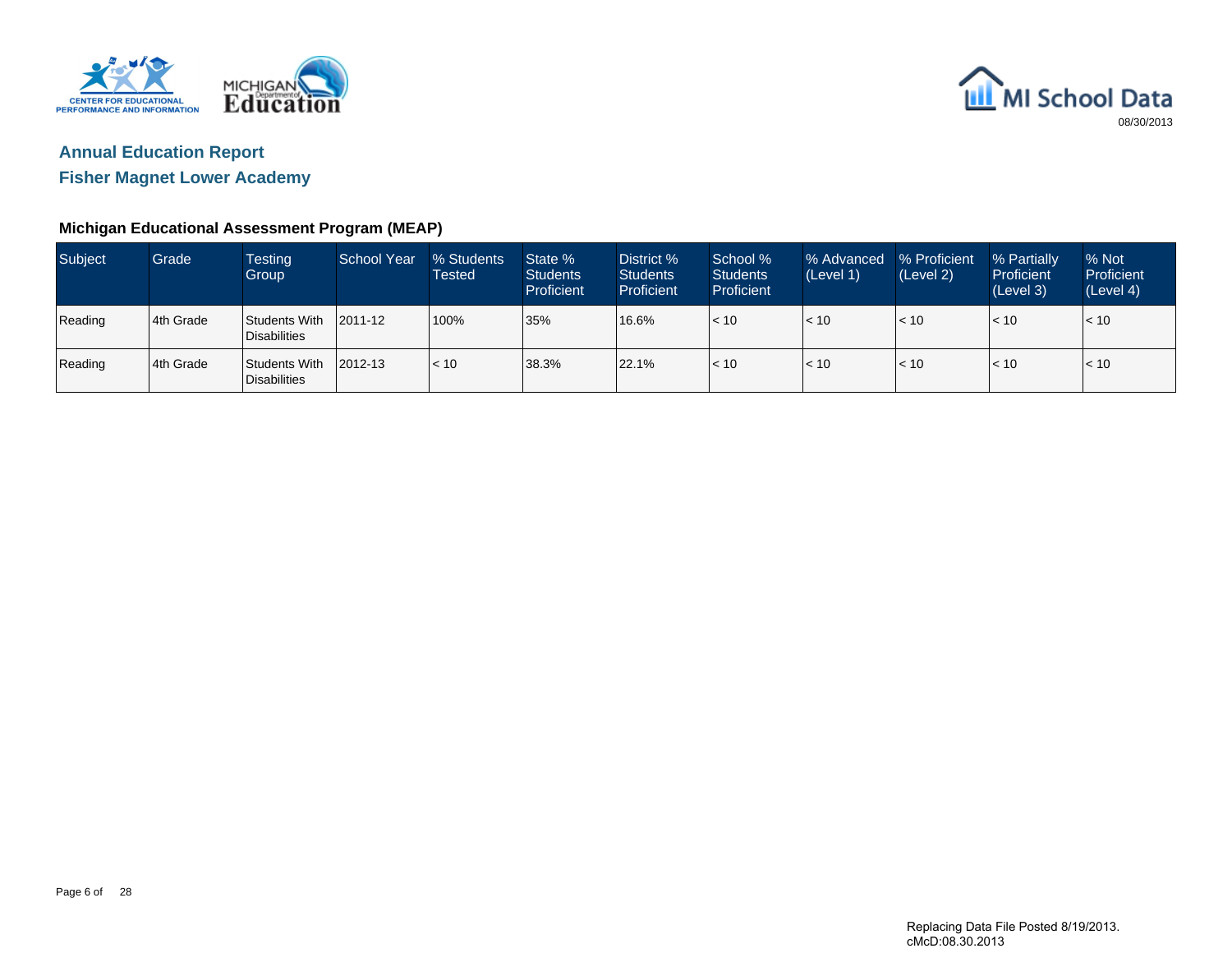



**Fisher Magnet Lower Academy**

### **Michigan Educational Assessment Program (MEAP)**

| <b>Subject</b> | Grade     | <b>Testing</b><br>Group              | School Year | % Students<br>Tested | State %<br><b>Students</b><br>Proficient | District %<br><b>Students</b><br>Proficient | School %<br><b>Students</b><br><b>Proficient</b> | % Advanced<br>(Level 1) | % Proficient<br>(Level 2) | % Partially<br>Proficient<br>(Level 3) | % Not<br>Proficient<br>(Level 4) |
|----------------|-----------|--------------------------------------|-------------|----------------------|------------------------------------------|---------------------------------------------|--------------------------------------------------|-------------------------|---------------------------|----------------------------------------|----------------------------------|
| Reading        | 4th Grade | Students With<br><b>Disabilities</b> | 2011-12     | 100%                 | 35%                                      | 16.6%                                       | < 10                                             | < 10                    | < 10                      | $\vert$ < 10                           | < 10                             |
| Reading        | 4th Grade | Students With<br>Disabilities        | 2012-13     | $ $ < 10             | 38.3%                                    | 22.1%                                       | < 10                                             | < 10                    | < 10                      | < 10                                   | < 10                             |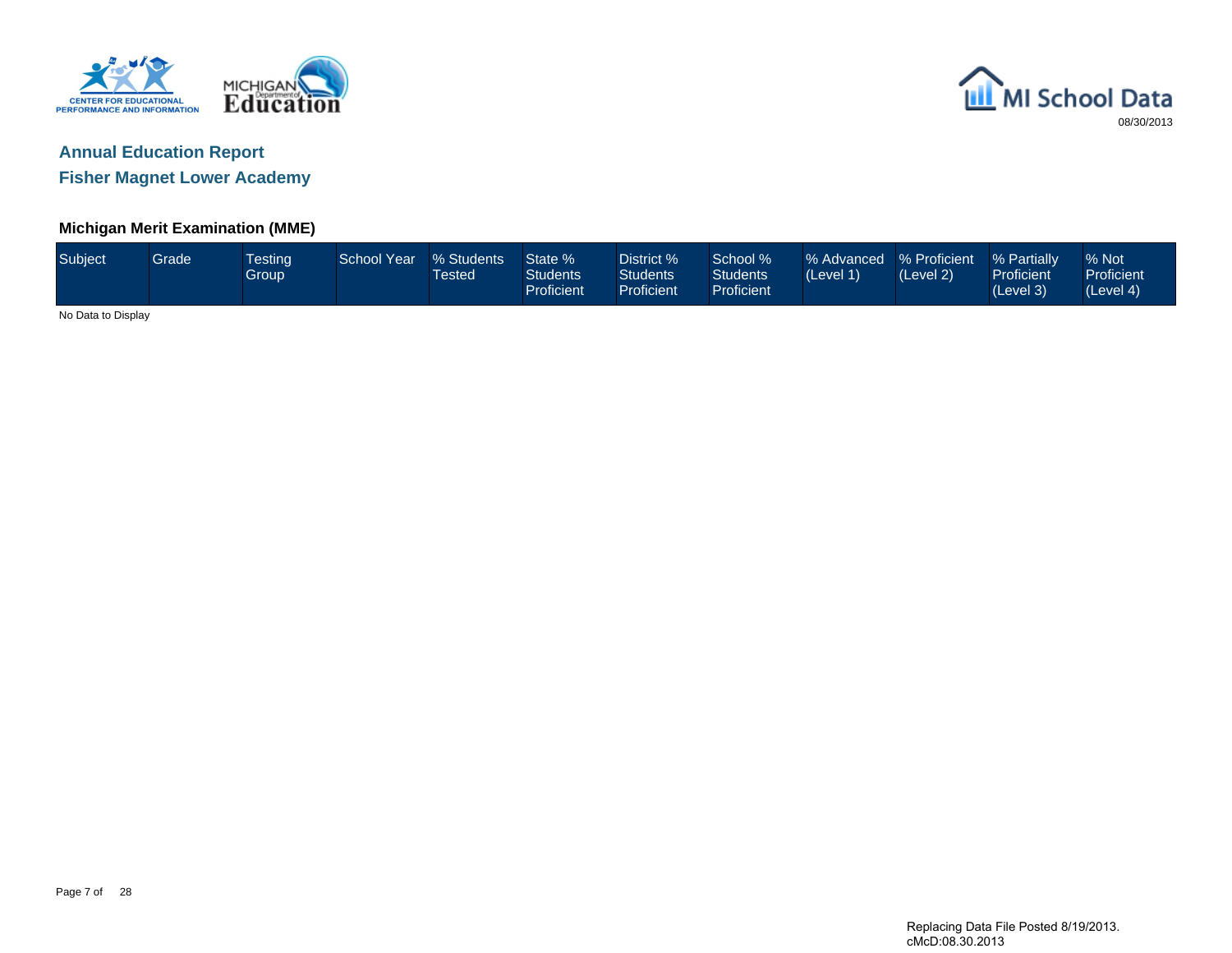



**Fisher Magnet Lower Academy**

### **Michigan Merit Examination (MME)**

| Subject            | <b>Grade</b> | <b>Testing</b><br><b>Group</b> | School Year | % Students<br>Tested | State %<br><b>Students</b><br>Proficient | District %<br>Students<br>Proficient | School %<br>Students<br>Proficient | % Advanced % Proficient<br>(Level 1) | (Level 2) | % Partially<br><b>Proficient</b><br>(Level 3) | % Not<br>Proficient<br>(Level 4) |
|--------------------|--------------|--------------------------------|-------------|----------------------|------------------------------------------|--------------------------------------|------------------------------------|--------------------------------------|-----------|-----------------------------------------------|----------------------------------|
| No Data to Display |              |                                |             |                      |                                          |                                      |                                    |                                      |           |                                               |                                  |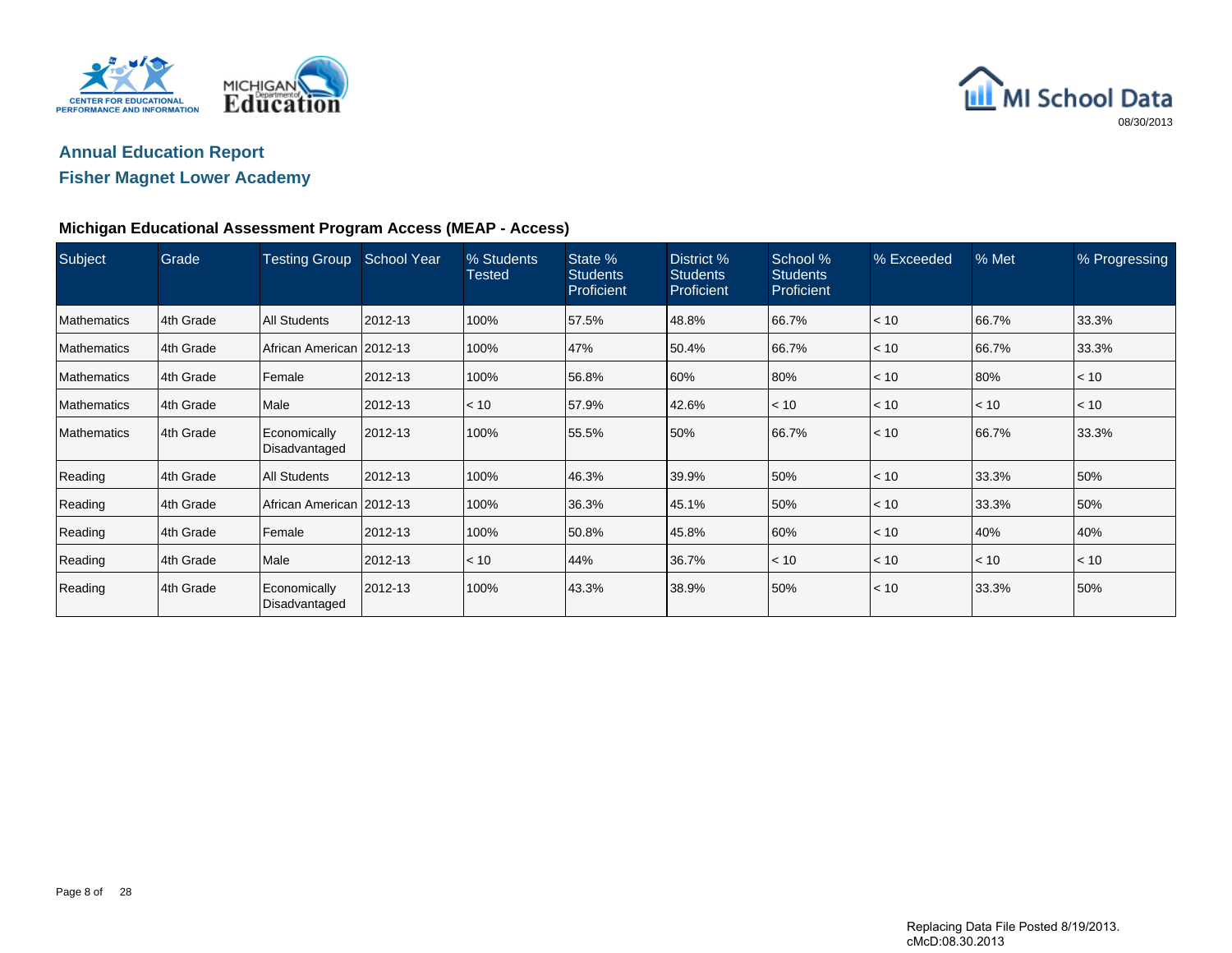



### **Fisher Magnet Lower Academy**

### **Michigan Educational Assessment Program Access (MEAP - Access)**

| Subject            | Grade     | <b>Testing Group</b>          | <b>School Year</b> | % Students<br><b>Tested</b> | State %<br><b>Students</b><br>Proficient | District %<br><b>Students</b><br>Proficient | School %<br><b>Students</b><br><b>Proficient</b> | % Exceeded | % Met | % Progressing |
|--------------------|-----------|-------------------------------|--------------------|-----------------------------|------------------------------------------|---------------------------------------------|--------------------------------------------------|------------|-------|---------------|
| <b>Mathematics</b> | 4th Grade | <b>All Students</b>           | 2012-13            | 100%                        | 57.5%                                    | 48.8%                                       | 66.7%                                            | < 10       | 66.7% | 33.3%         |
| <b>Mathematics</b> | 4th Grade | African American   2012-13    |                    | 100%                        | 47%                                      | 50.4%                                       | 66.7%                                            | < 10       | 66.7% | 33.3%         |
| <b>Mathematics</b> | 4th Grade | Female                        | 2012-13            | 100%                        | 56.8%                                    | 60%                                         | 80%                                              | $ $ < 10   | 80%   | < 10          |
| <b>Mathematics</b> | 4th Grade | Male                          | 2012-13            | < 10                        | 57.9%                                    | 42.6%                                       | < 10                                             | < 10       | < 10  | < 10          |
| <b>Mathematics</b> | 4th Grade | Economically<br>Disadvantaged | 2012-13            | 100%                        | 55.5%                                    | 50%                                         | 66.7%                                            | $ $ < 10   | 66.7% | 33.3%         |
| Reading            | 4th Grade | <b>All Students</b>           | 2012-13            | 100%                        | 46.3%                                    | 39.9%                                       | 50%                                              | $ $ < 10   | 33.3% | 50%           |
| Reading            | 4th Grade | African American 2012-13      |                    | 100%                        | 36.3%                                    | 45.1%                                       | 50%                                              | < 10       | 33.3% | 50%           |
| Reading            | 4th Grade | Female                        | 2012-13            | 100%                        | 50.8%                                    | 45.8%                                       | 60%                                              | $ $ < 10   | 40%   | 40%           |
| Reading            | 4th Grade | Male                          | 2012-13            | < 10                        | 44%                                      | 36.7%                                       | < 10                                             | $ $ < 10   | < 10  | < 10          |
| Reading            | 4th Grade | Economically<br>Disadvantaged | 2012-13            | 100%                        | 43.3%                                    | 38.9%                                       | 50%                                              | $ $ < 10   | 33.3% | 50%           |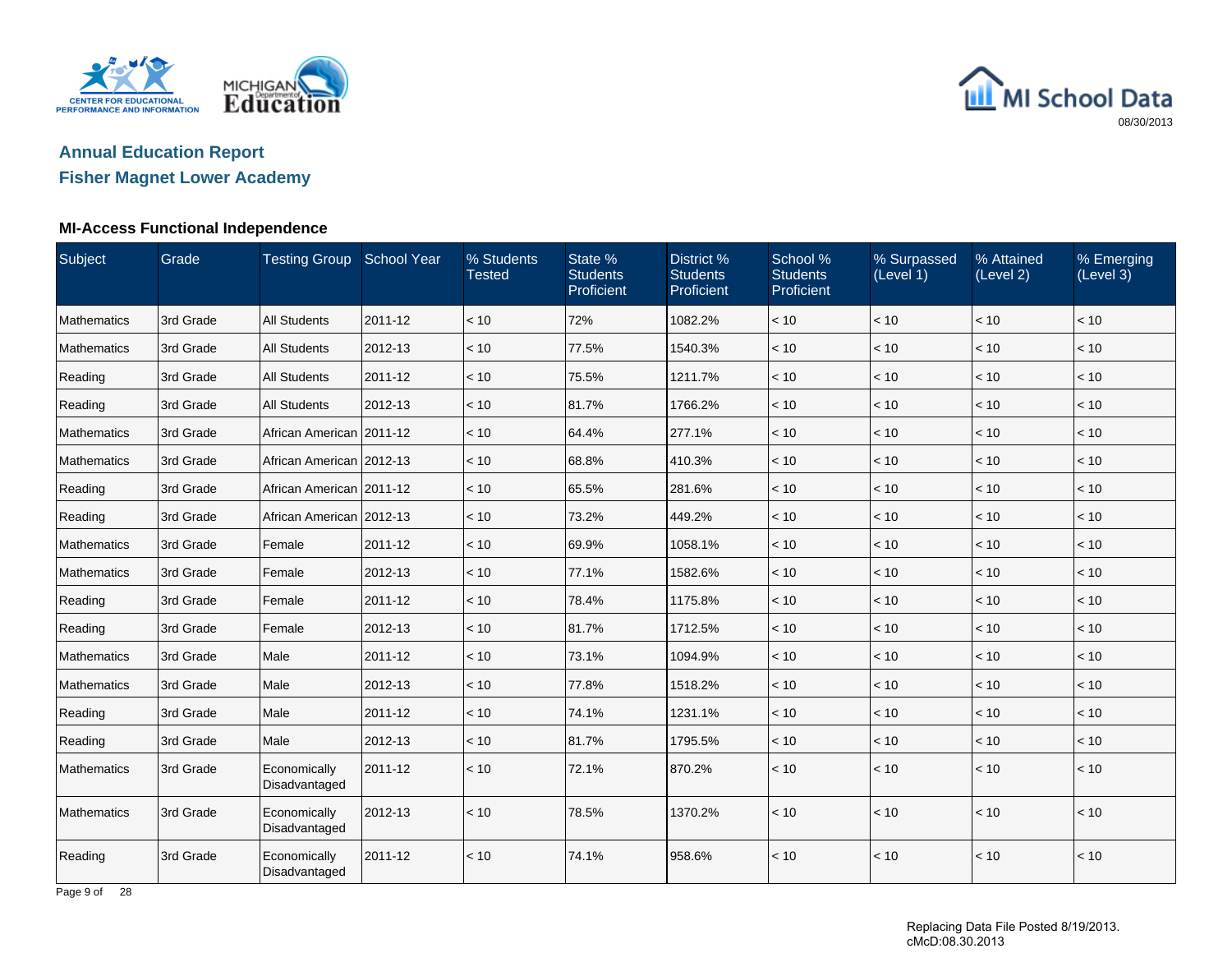



## **Fisher Magnet Lower Academy**

### **MI-Access Functional Independence**

| Subject            | Grade     | Testing Group School Year     |         | % Students<br><b>Tested</b> | State %<br><b>Students</b><br>Proficient | District %<br><b>Students</b><br>Proficient | School %<br><b>Students</b><br>Proficient | % Surpassed<br>(Level 1) | % Attained<br>(Level 2) | % Emerging<br>(Level 3) |
|--------------------|-----------|-------------------------------|---------|-----------------------------|------------------------------------------|---------------------------------------------|-------------------------------------------|--------------------------|-------------------------|-------------------------|
| Mathematics        | 3rd Grade | <b>All Students</b>           | 2011-12 | < 10                        | 72%                                      | 1082.2%                                     | < 10                                      | < 10                     | < 10                    | < 10                    |
| Mathematics        | 3rd Grade | <b>All Students</b>           | 2012-13 | < 10                        | 77.5%                                    | 1540.3%                                     | < 10                                      | < 10                     | < 10                    | < 10                    |
| Reading            | 3rd Grade | <b>All Students</b>           | 2011-12 | < 10                        | 75.5%                                    | 1211.7%                                     | < 10                                      | $<10$                    | < 10                    | < 10                    |
| Reading            | 3rd Grade | <b>All Students</b>           | 2012-13 | < 10                        | 81.7%                                    | 1766.2%                                     | < 10                                      | < 10                     | < 10                    | < 10                    |
| <b>Mathematics</b> | 3rd Grade | African American 2011-12      |         | < 10                        | 64.4%                                    | 277.1%                                      | < 10                                      | < 10                     | $<10$                   | $<10$                   |
| Mathematics        | 3rd Grade | African American 2012-13      |         | < 10                        | 68.8%                                    | 410.3%                                      | < 10                                      | < 10                     | < 10                    | < 10                    |
| Reading            | 3rd Grade | African American   2011-12    |         | < 10                        | 65.5%                                    | 281.6%                                      | < 10                                      | < 10                     | < 10                    | < 10                    |
| Reading            | 3rd Grade | African American 2012-13      |         | < 10                        | 73.2%                                    | 449.2%                                      | < 10                                      | < 10                     | $<10$                   | < 10                    |
| Mathematics        | 3rd Grade | Female                        | 2011-12 | < 10                        | 69.9%                                    | 1058.1%                                     | < 10                                      | < 10                     | < 10                    | < 10                    |
| <b>Mathematics</b> | 3rd Grade | Female                        | 2012-13 | < 10                        | 77.1%                                    | 1582.6%                                     | < 10                                      | < 10                     | < 10                    | < 10                    |
| Reading            | 3rd Grade | Female                        | 2011-12 | < 10                        | 78.4%                                    | 1175.8%                                     | < 10                                      | < 10                     | < 10                    | < 10                    |
| Reading            | 3rd Grade | Female                        | 2012-13 | < 10                        | 81.7%                                    | 1712.5%                                     | < 10                                      | < 10                     | < 10                    | < 10                    |
| <b>Mathematics</b> | 3rd Grade | Male                          | 2011-12 | < 10                        | 73.1%                                    | 1094.9%                                     | < 10                                      | < 10                     | < 10                    | < 10                    |
| Mathematics        | 3rd Grade | Male                          | 2012-13 | < 10                        | 77.8%                                    | 1518.2%                                     | < 10                                      | < 10                     | < 10                    | < 10                    |
| Reading            | 3rd Grade | Male                          | 2011-12 | < 10                        | 74.1%                                    | 1231.1%                                     | < 10                                      | < 10                     | < 10                    | < 10                    |
| Reading            | 3rd Grade | Male                          | 2012-13 | < 10                        | 81.7%                                    | 1795.5%                                     | < 10                                      | < 10                     | < 10                    | < 10                    |
| Mathematics        | 3rd Grade | Economically<br>Disadvantaged | 2011-12 | < 10                        | 72.1%                                    | 870.2%                                      | < 10                                      | < 10                     | < 10                    | < 10                    |
| Mathematics        | 3rd Grade | Economically<br>Disadvantaged | 2012-13 | < 10                        | 78.5%                                    | 1370.2%                                     | < 10                                      | < 10                     | < 10                    | < 10                    |
| Reading            | 3rd Grade | Economically<br>Disadvantaged | 2011-12 | < 10                        | 74.1%                                    | 958.6%                                      | < 10                                      | < 10                     | < 10                    | < 10                    |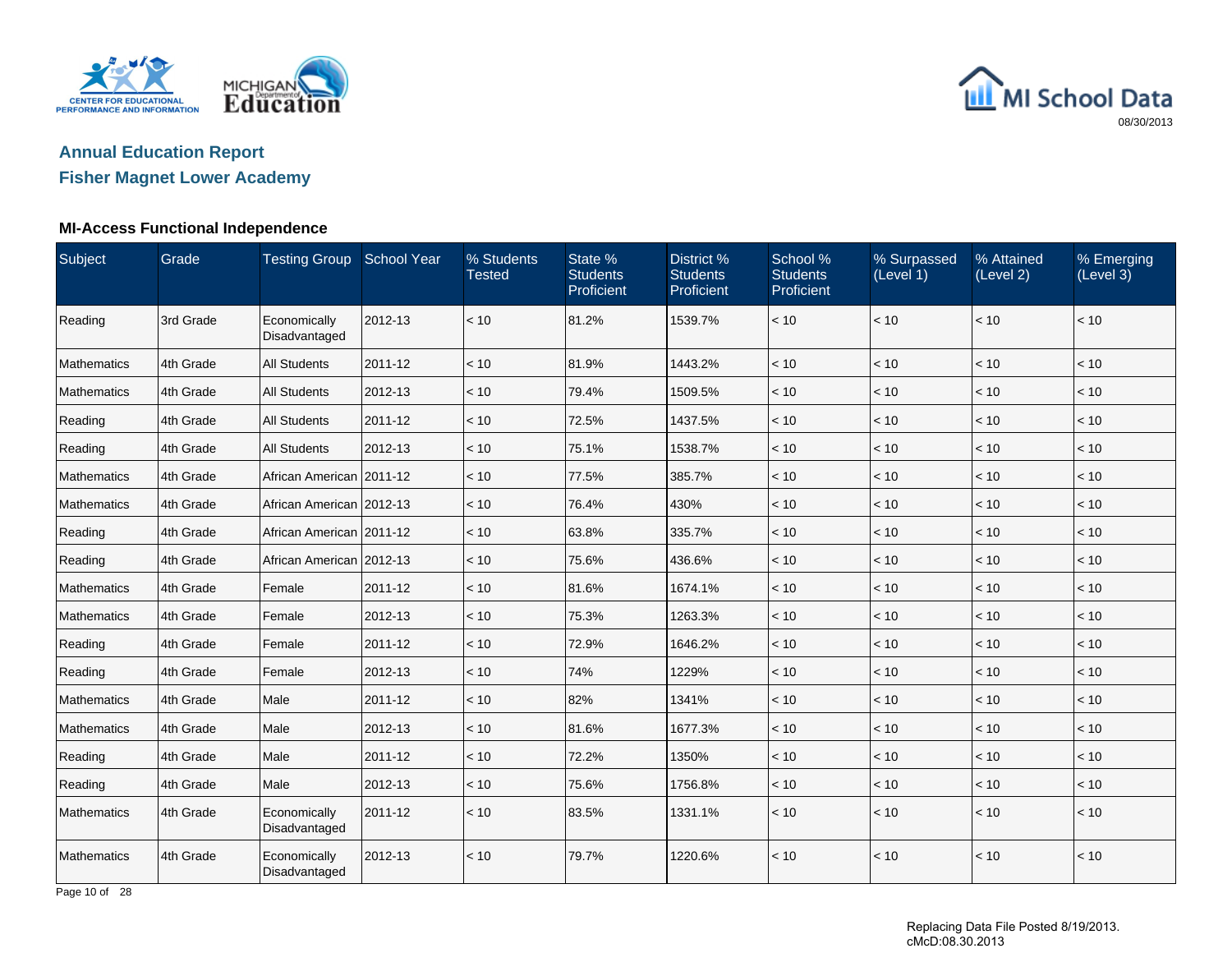



## **Fisher Magnet Lower Academy**

### **MI-Access Functional Independence**

| Subject            | Grade     | Testing Group School Year     |         | % Students<br><b>Tested</b> | State %<br><b>Students</b><br>Proficient | District %<br><b>Students</b><br>Proficient | School %<br><b>Students</b><br>Proficient | % Surpassed<br>(Level 1) | % Attained<br>(Level 2) | % Emerging<br>(Level 3) |
|--------------------|-----------|-------------------------------|---------|-----------------------------|------------------------------------------|---------------------------------------------|-------------------------------------------|--------------------------|-------------------------|-------------------------|
| Reading            | 3rd Grade | Economically<br>Disadvantaged | 2012-13 | < 10                        | 81.2%                                    | 1539.7%                                     | < 10                                      | < 10                     | < 10                    | < 10                    |
| Mathematics        | 4th Grade | <b>All Students</b>           | 2011-12 | < 10                        | 81.9%                                    | 1443.2%                                     | < 10                                      | < 10                     | < 10                    | < 10                    |
| <b>Mathematics</b> | 4th Grade | <b>All Students</b>           | 2012-13 | < 10                        | 79.4%                                    | 1509.5%                                     | < 10                                      | < 10                     | < 10                    | < 10                    |
| Reading            | 4th Grade | <b>All Students</b>           | 2011-12 | < 10                        | 72.5%                                    | 1437.5%                                     | < 10                                      | < 10                     | < 10                    | < 10                    |
| Reading            | 4th Grade | <b>All Students</b>           | 2012-13 | < 10                        | 75.1%                                    | 1538.7%                                     | < 10                                      | < 10                     | < 10                    | < 10                    |
| Mathematics        | 4th Grade | African American   2011-12    |         | < 10                        | 77.5%                                    | 385.7%                                      | < 10                                      | < 10                     | < 10                    | < 10                    |
| Mathematics        | 4th Grade | African American   2012-13    |         | < 10                        | 76.4%                                    | 430%                                        | < 10                                      | < 10                     | < 10                    | < 10                    |
| Reading            | 4th Grade | African American 2011-12      |         | < 10                        | 63.8%                                    | 335.7%                                      | < 10                                      | < 10                     | < 10                    | < 10                    |
| Reading            | 4th Grade | African American 2012-13      |         | < 10                        | 75.6%                                    | 436.6%                                      | < 10                                      | < 10                     | < 10                    | < 10                    |
| <b>Mathematics</b> | 4th Grade | Female                        | 2011-12 | ~10                         | 81.6%                                    | 1674.1%                                     | < 10                                      | < 10                     | < 10                    | < 10                    |
| Mathematics        | 4th Grade | Female                        | 2012-13 | < 10                        | 75.3%                                    | 1263.3%                                     | < 10                                      | < 10                     | < 10                    | < 10                    |
| Reading            | 4th Grade | Female                        | 2011-12 | < 10                        | 72.9%                                    | 1646.2%                                     | < 10                                      | < 10                     | < 10                    | < 10                    |
| Reading            | 4th Grade | Female                        | 2012-13 | < 10                        | 74%                                      | 1229%                                       | < 10                                      | < 10                     | < 10                    | < 10                    |
| Mathematics        | 4th Grade | Male                          | 2011-12 | < 10                        | 82%                                      | 1341%                                       | < 10                                      | < 10                     | < 10                    | < 10                    |
| Mathematics        | 4th Grade | Male                          | 2012-13 | < 10                        | 81.6%                                    | 1677.3%                                     | < 10                                      | < 10                     | < 10                    | < 10                    |
| Reading            | 4th Grade | Male                          | 2011-12 | < 10                        | 72.2%                                    | 1350%                                       | < 10                                      | < 10                     | < 10                    | < 10                    |
| Reading            | 4th Grade | Male                          | 2012-13 | < 10                        | 75.6%                                    | 1756.8%                                     | < 10                                      | < 10                     | < 10                    | < 10                    |
| <b>Mathematics</b> | 4th Grade | Economically<br>Disadvantaged | 2011-12 | < 10                        | 83.5%                                    | 1331.1%                                     | < 10                                      | < 10                     | < 10                    | < 10                    |
| Mathematics        | 4th Grade | Economically<br>Disadvantaged | 2012-13 | < 10                        | 79.7%                                    | 1220.6%                                     | < 10                                      | < 10                     | < 10                    | < 10                    |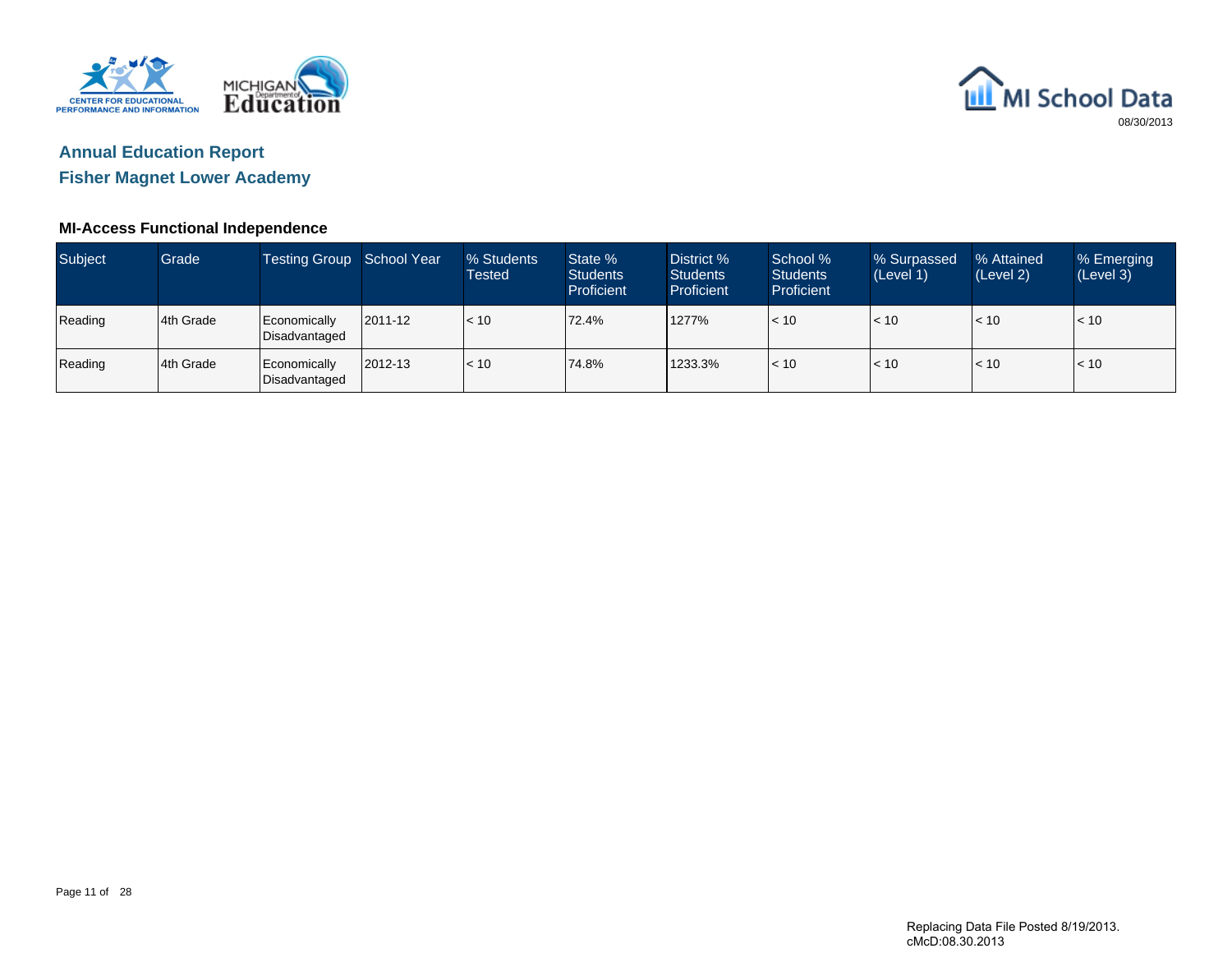



**Fisher Magnet Lower Academy**

### **MI-Access Functional Independence**

| <b>Subject</b> | Grade      | Testing Group School Year     |         | % Students<br>Tested | State %<br><b>Students</b><br><b>Proficient</b> | District %<br><b>Students</b><br>Proficient | School %<br><b>Students</b><br><b>Proficient</b> | % Surpassed<br>(Level 1) | % Attained<br>(Level 2) | % Emerging<br>(Level 3) |
|----------------|------------|-------------------------------|---------|----------------------|-------------------------------------------------|---------------------------------------------|--------------------------------------------------|--------------------------|-------------------------|-------------------------|
| Reading        | 14th Grade | Economically<br>Disadvantaged | 2011-12 | $\leq 10$            | 72.4%                                           | 1277%                                       | < 10                                             | < 10                     | < 10                    | < 10                    |
| Reading        | 4th Grade  | Economically<br>Disadvantaged | 2012-13 | < 10                 | 74.8%                                           | 1233.3%                                     | $\leq 10$                                        | < 10                     | $\leq 10$               | < 10                    |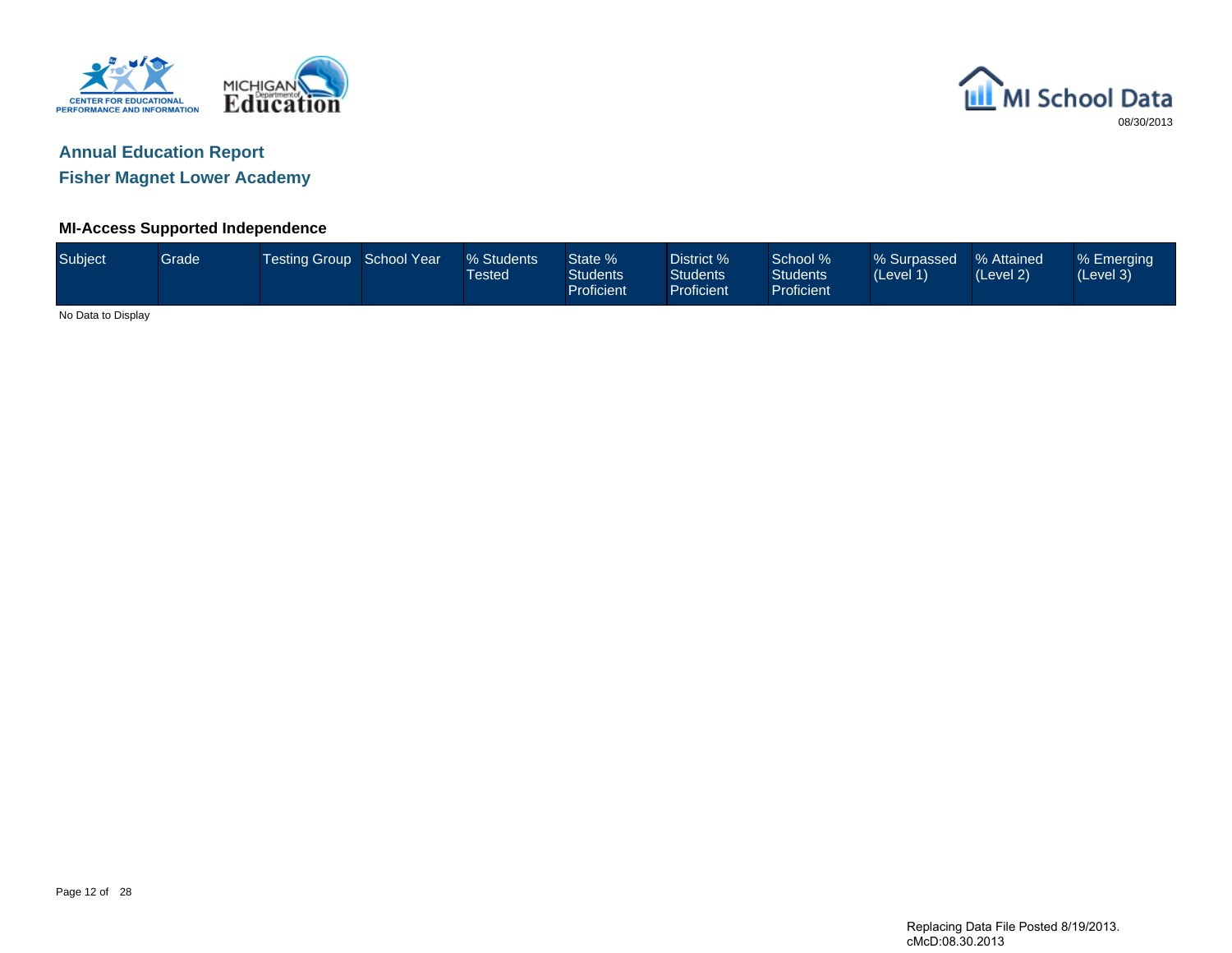



**Fisher Magnet Lower Academy**

### **MI-Access Supported Independence**

| Subject            | Grade | Testing Group School Year | % Students<br><b>Tested</b> | State %<br><b>Students</b><br>Proficient | District %<br>Students <sup>1</sup><br><b>Proficient</b> | School %<br><b>Students</b><br>Proficient | % Surpassed<br>(Level 1) | % Attained<br>(Level 2) | % Emerging<br>(Level 3) |
|--------------------|-------|---------------------------|-----------------------------|------------------------------------------|----------------------------------------------------------|-------------------------------------------|--------------------------|-------------------------|-------------------------|
| No Data to Display |       |                           |                             |                                          |                                                          |                                           |                          |                         |                         |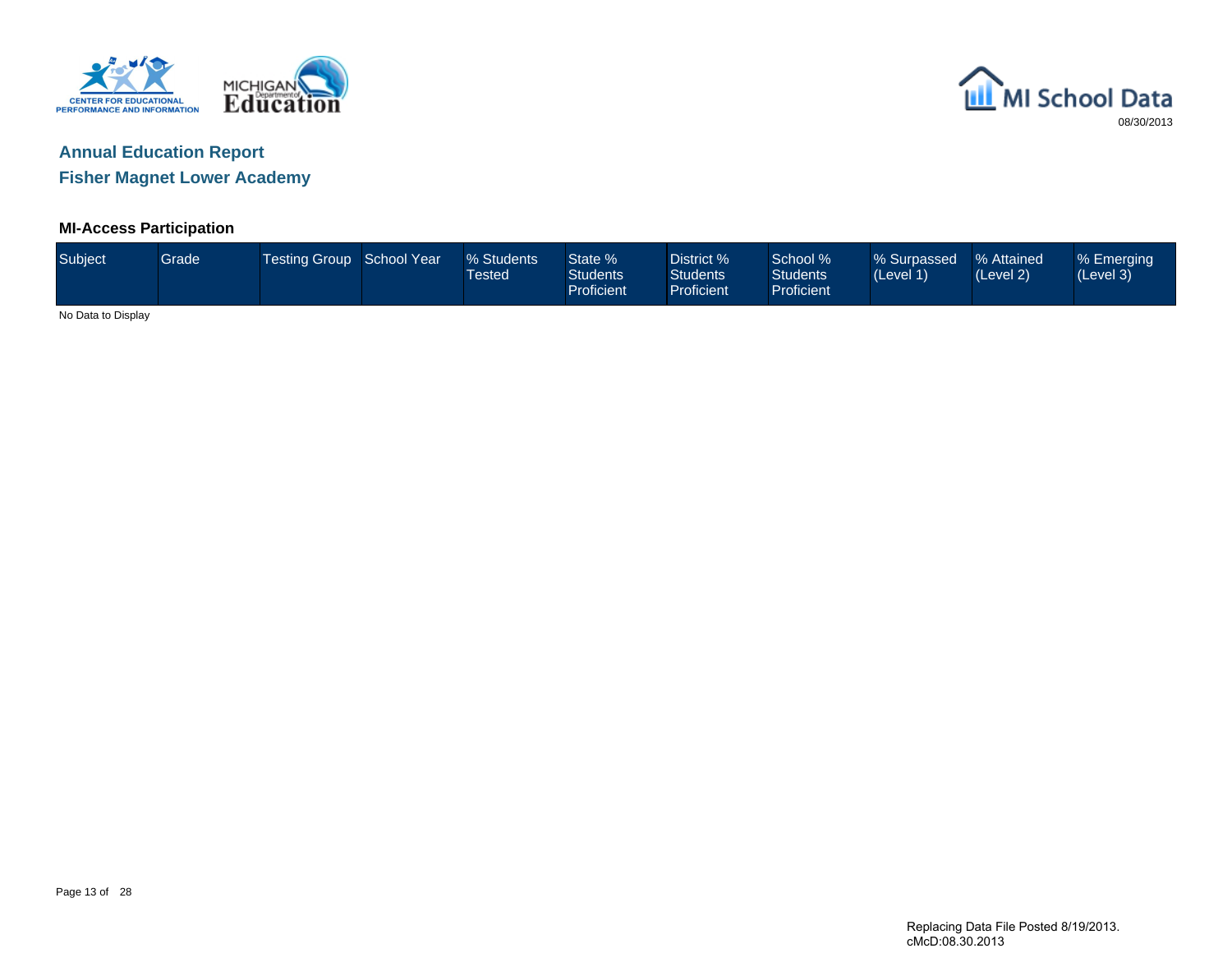



**Fisher Magnet Lower Academy**

### **MI-Access Participation**

| Subject            | <b>Grade</b> | Testing Group School Year | % Students<br><b>Tested</b> | State %<br><b>Students</b><br>Proficient | District %<br>Students <sup>1</sup><br><b>Proficient</b> | School %<br><b>Students</b><br>Proficient | % Surpassed<br>(Level 1) | % Attained<br>(Level 2) | % Emerging<br>(Level 3) |
|--------------------|--------------|---------------------------|-----------------------------|------------------------------------------|----------------------------------------------------------|-------------------------------------------|--------------------------|-------------------------|-------------------------|
| No Data to Display |              |                           |                             |                                          |                                                          |                                           |                          |                         |                         |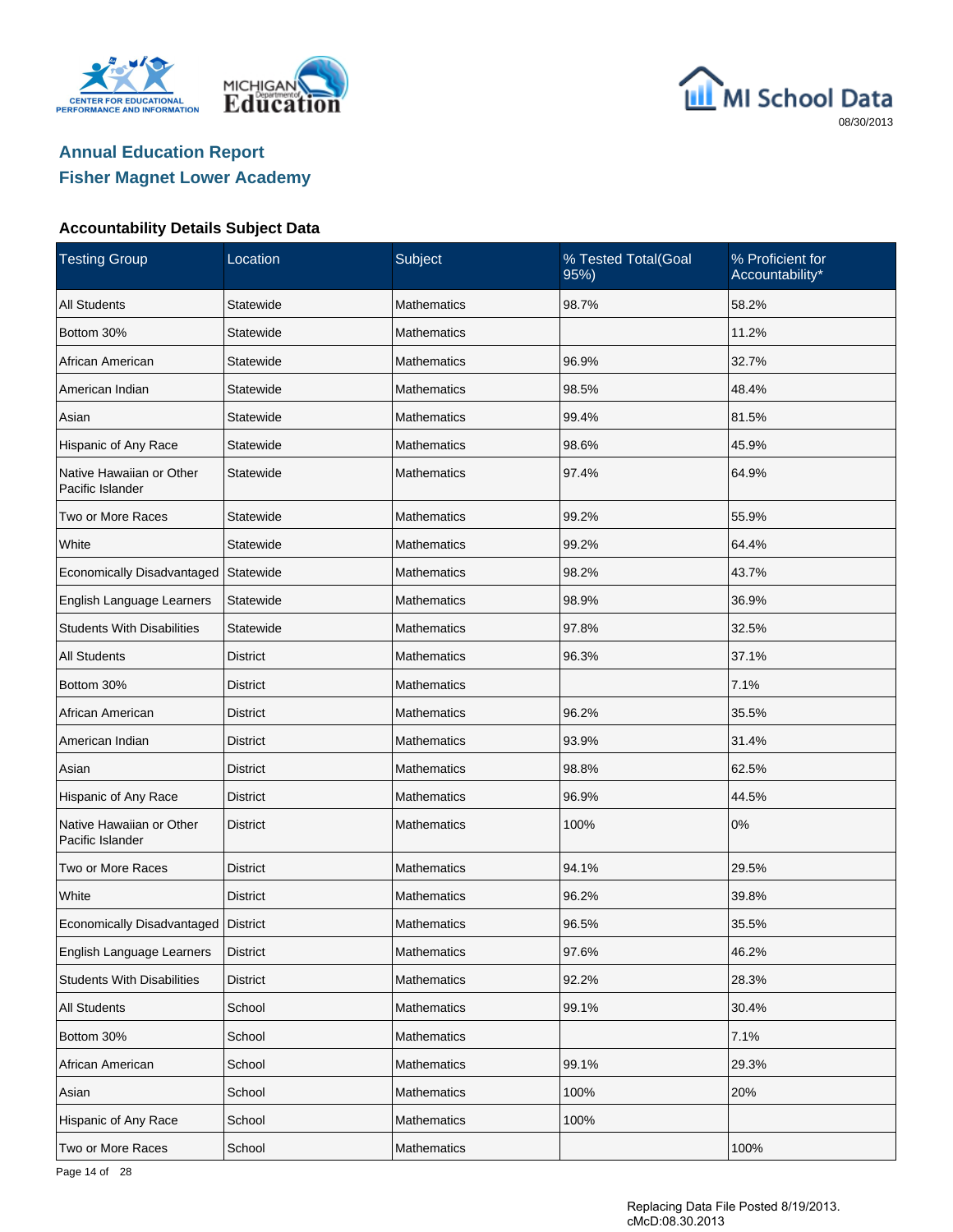





#### **Accountability Details Subject Data**

| <b>Testing Group</b>                         | Location        | Subject            | % Tested Total(Goal<br>95%) | % Proficient for<br>Accountability* |
|----------------------------------------------|-----------------|--------------------|-----------------------------|-------------------------------------|
| <b>All Students</b>                          | Statewide       | <b>Mathematics</b> | 98.7%                       | 58.2%                               |
| Bottom 30%                                   | Statewide       | <b>Mathematics</b> |                             | 11.2%                               |
| African American                             | Statewide       | <b>Mathematics</b> | 96.9%                       | 32.7%                               |
| American Indian                              | Statewide       | <b>Mathematics</b> | 98.5%                       | 48.4%                               |
| Asian                                        | Statewide       | <b>Mathematics</b> | 99.4%                       | 81.5%                               |
| Hispanic of Any Race                         | Statewide       | <b>Mathematics</b> | 98.6%                       | 45.9%                               |
| Native Hawaiian or Other<br>Pacific Islander | Statewide       | <b>Mathematics</b> | 97.4%                       | 64.9%                               |
| Two or More Races                            | Statewide       | <b>Mathematics</b> | 99.2%                       | 55.9%                               |
| White                                        | Statewide       | <b>Mathematics</b> | 99.2%                       | 64.4%                               |
| Economically Disadvantaged                   | Statewide       | <b>Mathematics</b> | 98.2%                       | 43.7%                               |
| English Language Learners                    | Statewide       | <b>Mathematics</b> | 98.9%                       | 36.9%                               |
| <b>Students With Disabilities</b>            | Statewide       | <b>Mathematics</b> | 97.8%                       | 32.5%                               |
| <b>All Students</b>                          | <b>District</b> | <b>Mathematics</b> | 96.3%                       | 37.1%                               |
| Bottom 30%                                   | District        | <b>Mathematics</b> |                             | 7.1%                                |
| African American                             | <b>District</b> | <b>Mathematics</b> | 96.2%                       | 35.5%                               |
| American Indian                              | District        | <b>Mathematics</b> | 93.9%                       | 31.4%                               |
| Asian                                        | <b>District</b> | <b>Mathematics</b> | 98.8%                       | 62.5%                               |
| Hispanic of Any Race                         | District        | <b>Mathematics</b> | 96.9%                       | 44.5%                               |
| Native Hawaiian or Other<br>Pacific Islander | <b>District</b> | <b>Mathematics</b> | 100%                        | 0%                                  |
| Two or More Races                            | <b>District</b> | <b>Mathematics</b> | 94.1%                       | 29.5%                               |
| White                                        | <b>District</b> | <b>Mathematics</b> | 96.2%                       | 39.8%                               |
| Economically Disadvantaged   District        |                 | <b>Mathematics</b> | 96.5%                       | 35.5%                               |
| English Language Learners                    | <b>District</b> | Mathematics        | 97.6%                       | 46.2%                               |
| <b>Students With Disabilities</b>            | <b>District</b> | Mathematics        | 92.2%                       | 28.3%                               |
| All Students                                 | School          | Mathematics        | 99.1%                       | 30.4%                               |
| Bottom 30%                                   | School          | Mathematics        |                             | 7.1%                                |
| African American                             | School          | Mathematics        | 99.1%                       | 29.3%                               |
| Asian                                        | School          | Mathematics        | 100%                        | 20%                                 |
| Hispanic of Any Race                         | School          | Mathematics        | 100%                        |                                     |
| Two or More Races                            | School          | Mathematics        |                             | 100%                                |

Page 14 of 28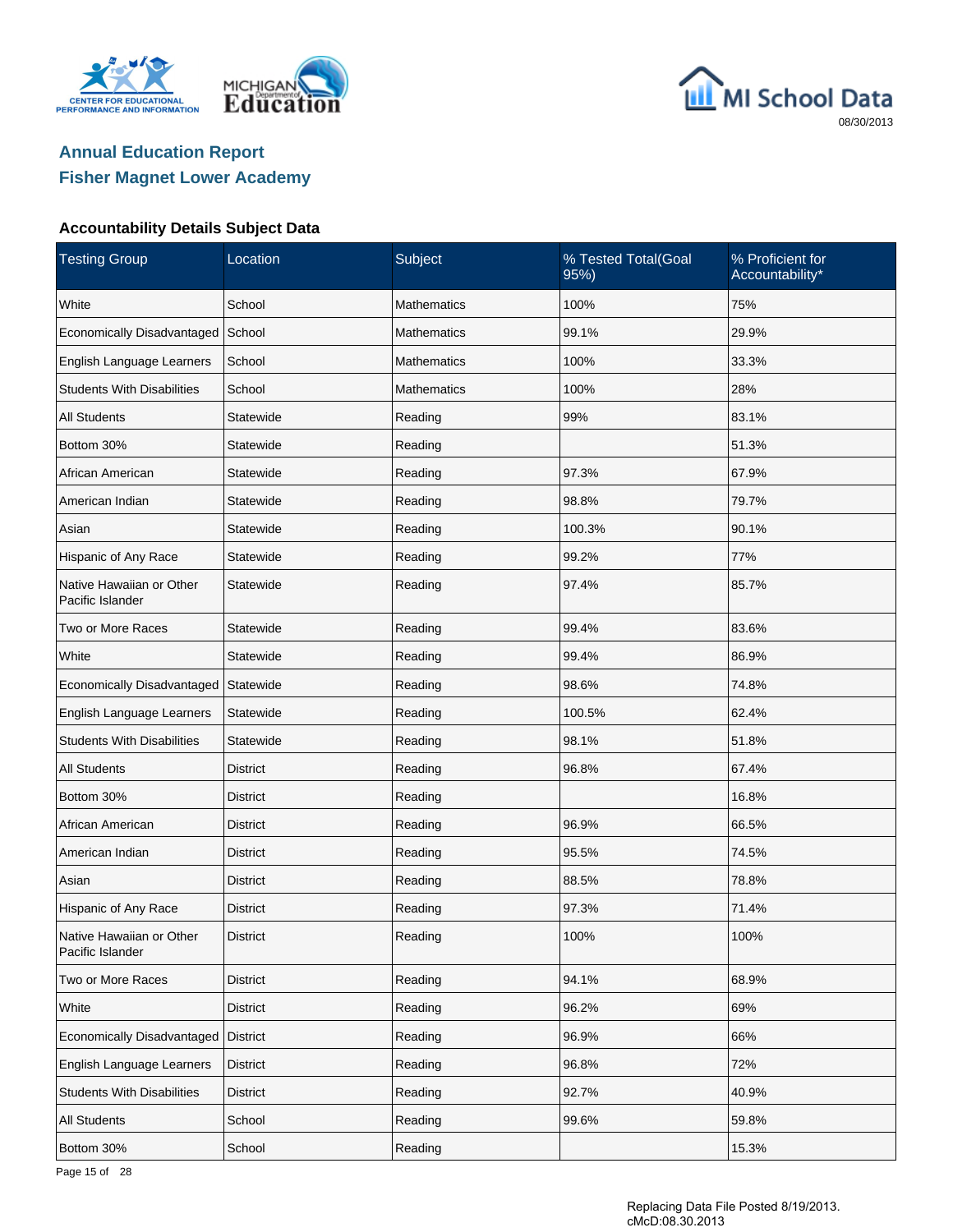





### **Accountability Details Subject Data**

| <b>Testing Group</b>                         | Location        | Subject            | % Tested Total(Goal<br>95%) | % Proficient for<br>Accountability* |
|----------------------------------------------|-----------------|--------------------|-----------------------------|-------------------------------------|
| White                                        | School          | <b>Mathematics</b> | 100%                        | 75%                                 |
| Economically Disadvantaged                   | School          | <b>Mathematics</b> | 99.1%                       | 29.9%                               |
| English Language Learners                    | School          | <b>Mathematics</b> | 100%                        | 33.3%                               |
| <b>Students With Disabilities</b>            | School          | <b>Mathematics</b> | 100%                        | 28%                                 |
| <b>All Students</b>                          | Statewide       | Reading            | 99%                         | 83.1%                               |
| Bottom 30%                                   | Statewide       | Reading            |                             | 51.3%                               |
| African American                             | Statewide       | Reading            | 97.3%                       | 67.9%                               |
| American Indian                              | Statewide       | Reading            | 98.8%                       | 79.7%                               |
| Asian                                        | Statewide       | Reading            | 100.3%                      | 90.1%                               |
| Hispanic of Any Race                         | Statewide       | Reading            | 99.2%                       | 77%                                 |
| Native Hawaiian or Other<br>Pacific Islander | Statewide       | Reading            | 97.4%                       | 85.7%                               |
| Two or More Races                            | Statewide       | Reading            | 99.4%                       | 83.6%                               |
| White                                        | Statewide       | Reading            | 99.4%                       | 86.9%                               |
| Economically Disadvantaged                   | Statewide       | Reading            | 98.6%                       | 74.8%                               |
| English Language Learners                    | Statewide       | Reading            | 100.5%                      | 62.4%                               |
| <b>Students With Disabilities</b>            | Statewide       | Reading            | 98.1%                       | 51.8%                               |
| <b>All Students</b>                          | <b>District</b> | Reading            | 96.8%                       | 67.4%                               |
| Bottom 30%                                   | District        | Reading            |                             | 16.8%                               |
| African American                             | <b>District</b> | Reading            | 96.9%                       | 66.5%                               |
| American Indian                              | District        | Reading            | 95.5%                       | 74.5%                               |
| Asian                                        | <b>District</b> | Reading            | 88.5%                       | 78.8%                               |
| Hispanic of Any Race                         | District        | Reading            | 97.3%                       | 71.4%                               |
| Native Hawaiian or Other<br>Pacific Islander | District        | Reading            | 100%                        | 100%                                |
| Two or More Races                            | District        | Reading            | 94.1%                       | 68.9%                               |
| White                                        | <b>District</b> | Reading            | 96.2%                       | 69%                                 |
| Economically Disadvantaged                   | District        | Reading            | 96.9%                       | 66%                                 |
| English Language Learners                    | <b>District</b> | Reading            | 96.8%                       | 72%                                 |
| <b>Students With Disabilities</b>            | <b>District</b> | Reading            | 92.7%                       | 40.9%                               |
| All Students                                 | School          | Reading            | 99.6%                       | 59.8%                               |
| Bottom 30%                                   | School          | Reading            |                             | 15.3%                               |

Page 15 of 28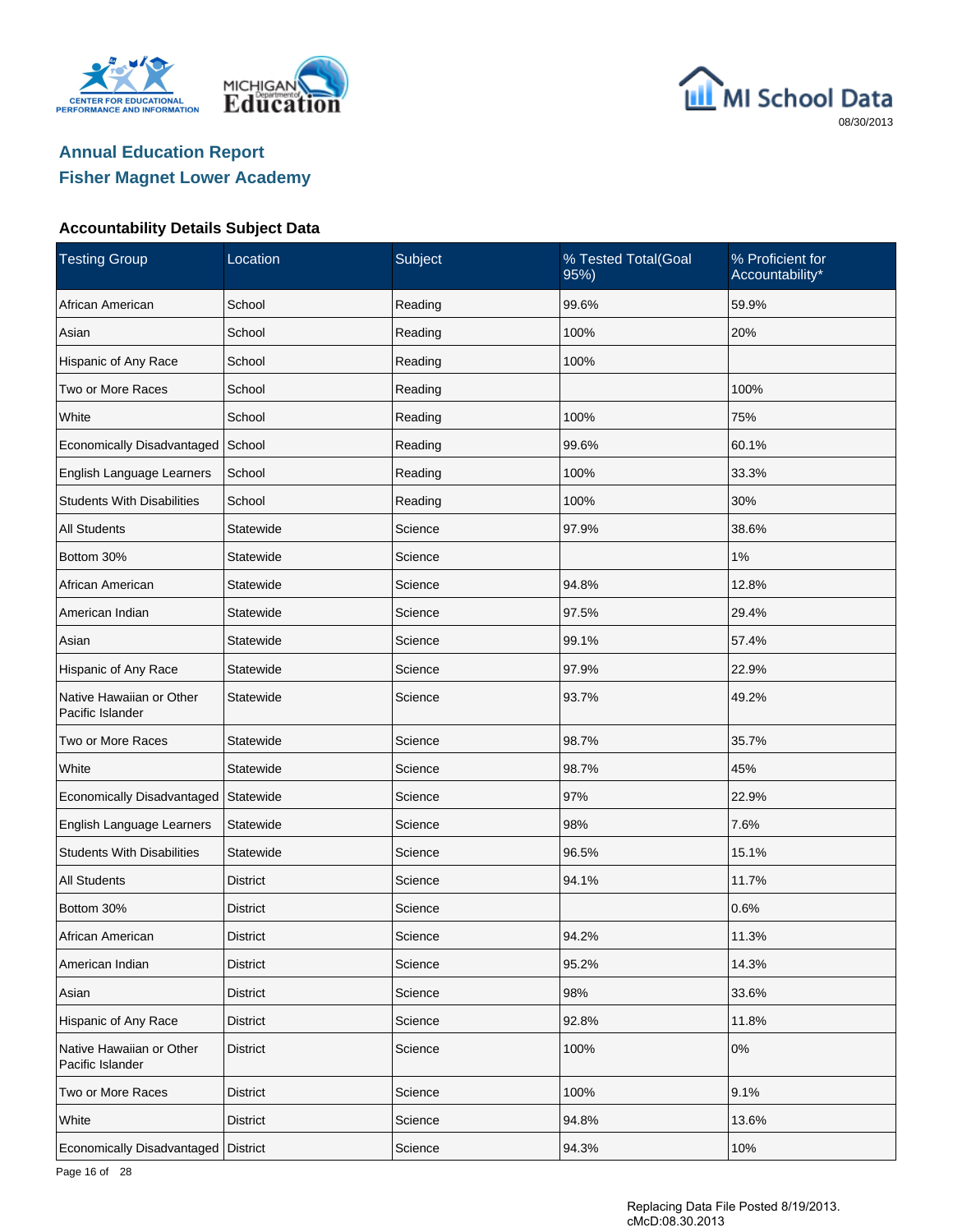





### **Accountability Details Subject Data**

| <b>Testing Group</b>                         | Location        | Subject | % Tested Total(Goal<br>95%) | % Proficient for<br>Accountability* |
|----------------------------------------------|-----------------|---------|-----------------------------|-------------------------------------|
| African American                             | School          | Reading | 99.6%                       | 59.9%                               |
| Asian                                        | School          | Reading | 100%                        | 20%                                 |
| Hispanic of Any Race                         | School          | Reading | 100%                        |                                     |
| Two or More Races                            | School          | Reading |                             | 100%                                |
| White                                        | School          | Reading | 100%                        | 75%                                 |
| Economically Disadvantaged                   | School          | Reading | 99.6%                       | 60.1%                               |
| English Language Learners                    | School          | Reading | 100%                        | 33.3%                               |
| <b>Students With Disabilities</b>            | School          | Reading | 100%                        | 30%                                 |
| <b>All Students</b>                          | Statewide       | Science | 97.9%                       | 38.6%                               |
| Bottom 30%                                   | Statewide       | Science |                             | 1%                                  |
| African American                             | Statewide       | Science | 94.8%                       | 12.8%                               |
| American Indian                              | Statewide       | Science | 97.5%                       | 29.4%                               |
| Asian                                        | Statewide       | Science | 99.1%                       | 57.4%                               |
| Hispanic of Any Race                         | Statewide       | Science | 97.9%                       | 22.9%                               |
| Native Hawaiian or Other<br>Pacific Islander | Statewide       | Science | 93.7%                       | 49.2%                               |
| Two or More Races                            | Statewide       | Science | 98.7%                       | 35.7%                               |
| White                                        | Statewide       | Science | 98.7%                       | 45%                                 |
| Economically Disadvantaged                   | Statewide       | Science | 97%                         | 22.9%                               |
| English Language Learners                    | Statewide       | Science | 98%                         | 7.6%                                |
| <b>Students With Disabilities</b>            | Statewide       | Science | 96.5%                       | 15.1%                               |
| <b>All Students</b>                          | <b>District</b> | Science | 94.1%                       | 11.7%                               |
| Bottom 30%                                   | District        | Science |                             | 0.6%                                |
| African American                             | <b>District</b> | Science | 94.2%                       | 11.3%                               |
| American Indian                              | <b>District</b> | Science | 95.2%                       | 14.3%                               |
| Asian                                        | <b>District</b> | Science | 98%                         | 33.6%                               |
| Hispanic of Any Race                         | <b>District</b> | Science | 92.8%                       | 11.8%                               |
| Native Hawaiian or Other<br>Pacific Islander | <b>District</b> | Science | 100%                        | $0\%$                               |
| Two or More Races                            | <b>District</b> | Science | 100%                        | 9.1%                                |
| White                                        | <b>District</b> | Science | 94.8%                       | 13.6%                               |
| Economically Disadvantaged                   | <b>District</b> | Science | 94.3%                       | 10%                                 |

Page 16 of 28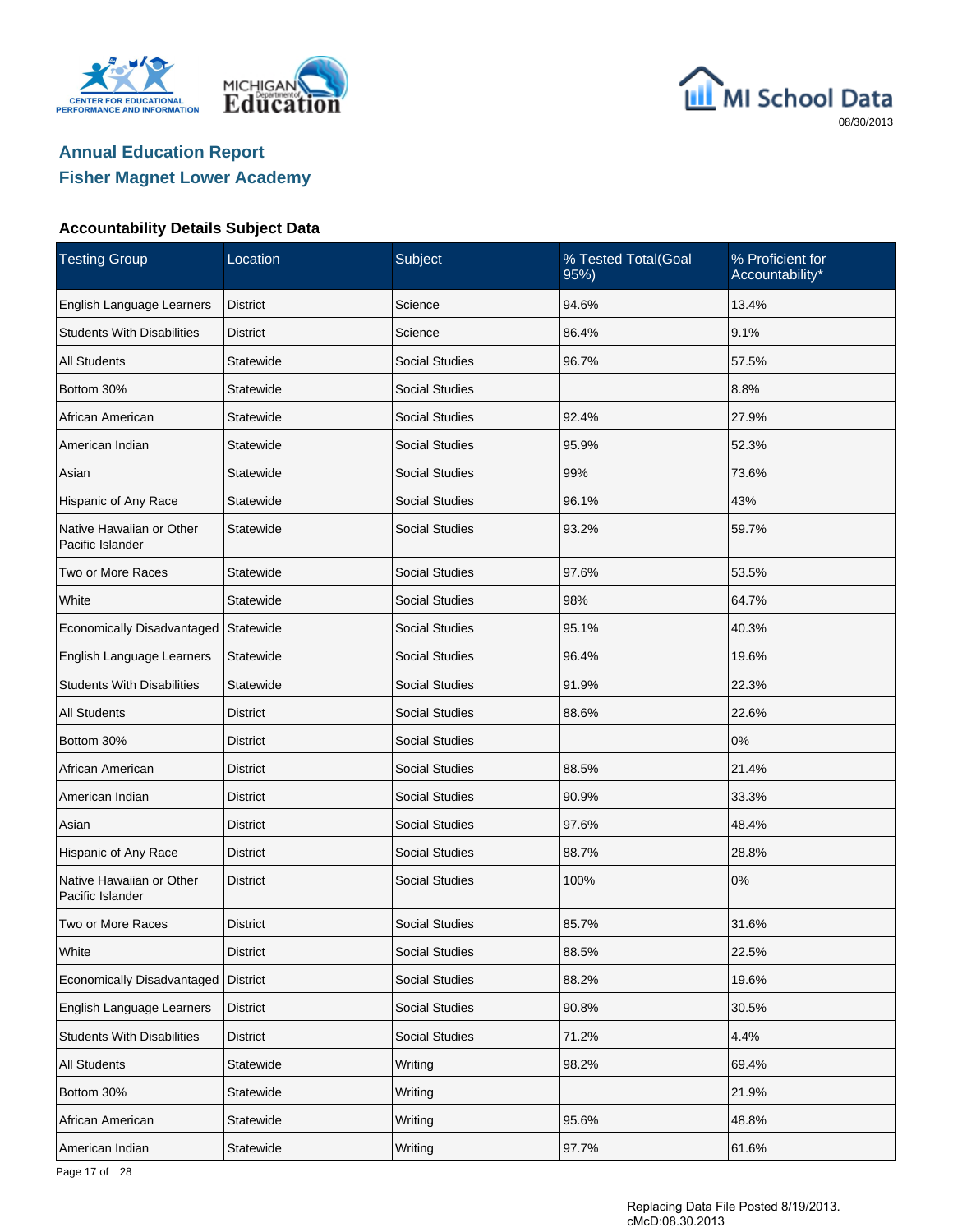





#### **Accountability Details Subject Data**

| <b>Testing Group</b>                         | Location        | Subject               | % Tested Total(Goal<br>95%) | % Proficient for<br>Accountability* |
|----------------------------------------------|-----------------|-----------------------|-----------------------------|-------------------------------------|
| English Language Learners                    | <b>District</b> | Science               | 94.6%                       | 13.4%                               |
| <b>Students With Disabilities</b>            | <b>District</b> | Science               | 86.4%                       | 9.1%                                |
| <b>All Students</b>                          | Statewide       | <b>Social Studies</b> | 96.7%                       | 57.5%                               |
| Bottom 30%                                   | Statewide       | <b>Social Studies</b> |                             | 8.8%                                |
| African American                             | Statewide       | <b>Social Studies</b> | 92.4%                       | 27.9%                               |
| American Indian                              | Statewide       | <b>Social Studies</b> | 95.9%                       | 52.3%                               |
| Asian                                        | Statewide       | <b>Social Studies</b> | 99%                         | 73.6%                               |
| Hispanic of Any Race                         | Statewide       | <b>Social Studies</b> | 96.1%                       | 43%                                 |
| Native Hawaiian or Other<br>Pacific Islander | Statewide       | <b>Social Studies</b> | 93.2%                       | 59.7%                               |
| Two or More Races                            | Statewide       | <b>Social Studies</b> | 97.6%                       | 53.5%                               |
| White                                        | Statewide       | <b>Social Studies</b> | 98%                         | 64.7%                               |
| Economically Disadvantaged                   | Statewide       | <b>Social Studies</b> | 95.1%                       | 40.3%                               |
| English Language Learners                    | Statewide       | <b>Social Studies</b> | 96.4%                       | 19.6%                               |
| <b>Students With Disabilities</b>            | Statewide       | <b>Social Studies</b> | 91.9%                       | 22.3%                               |
| <b>All Students</b>                          | <b>District</b> | <b>Social Studies</b> | 88.6%                       | 22.6%                               |
| Bottom 30%                                   | <b>District</b> | <b>Social Studies</b> |                             | 0%                                  |
| African American                             | <b>District</b> | <b>Social Studies</b> | 88.5%                       | 21.4%                               |
| American Indian                              | <b>District</b> | <b>Social Studies</b> | 90.9%                       | 33.3%                               |
| Asian                                        | <b>District</b> | <b>Social Studies</b> | 97.6%                       | 48.4%                               |
| Hispanic of Any Race                         | <b>District</b> | <b>Social Studies</b> | 88.7%                       | 28.8%                               |
| Native Hawaiian or Other<br>Pacific Islander | <b>District</b> | <b>Social Studies</b> | 100%                        | 0%                                  |
| Two or More Races                            | <b>District</b> | <b>Social Studies</b> | 85.7%                       | 31.6%                               |
| White                                        | <b>District</b> | Social Studies        | 88.5%                       | 22.5%                               |
| Economically Disadvantaged                   | <b>District</b> | Social Studies        | 88.2%                       | 19.6%                               |
| English Language Learners                    | <b>District</b> | Social Studies        | 90.8%                       | 30.5%                               |
| <b>Students With Disabilities</b>            | <b>District</b> | <b>Social Studies</b> | 71.2%                       | 4.4%                                |
| <b>All Students</b>                          | Statewide       | Writing               | 98.2%                       | 69.4%                               |
| Bottom 30%                                   | Statewide       | Writing               |                             | 21.9%                               |
| African American                             | Statewide       | Writing               | 95.6%                       | 48.8%                               |
| American Indian                              | Statewide       | Writing               | 97.7%                       | 61.6%                               |

Page 17 of 28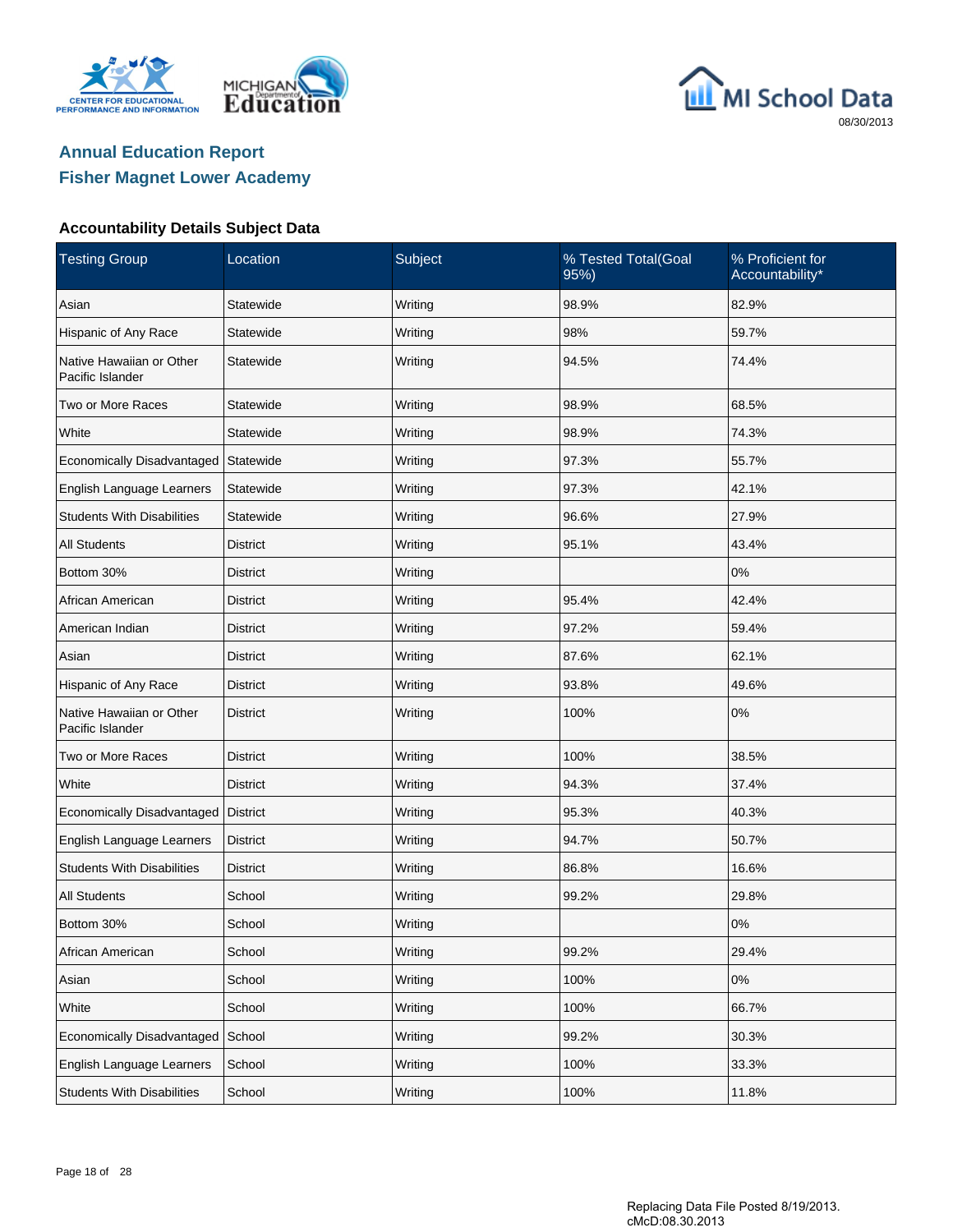





#### **Accountability Details Subject Data**

| <b>Testing Group</b>                         | Location        | Subject | % Tested Total(Goal<br>95%) | % Proficient for<br>Accountability* |
|----------------------------------------------|-----------------|---------|-----------------------------|-------------------------------------|
| Asian                                        | Statewide       | Writing | 98.9%                       | 82.9%                               |
| Hispanic of Any Race                         | Statewide       | Writing | 98%                         | 59.7%                               |
| Native Hawaiian or Other<br>Pacific Islander | Statewide       | Writing | 94.5%                       | 74.4%                               |
| Two or More Races                            | Statewide       | Writing | 98.9%                       | 68.5%                               |
| White                                        | Statewide       | Writing | 98.9%                       | 74.3%                               |
| Economically Disadvantaged Statewide         |                 | Writing | 97.3%                       | 55.7%                               |
| English Language Learners                    | Statewide       | Writing | 97.3%                       | 42.1%                               |
| <b>Students With Disabilities</b>            | Statewide       | Writing | 96.6%                       | 27.9%                               |
| <b>All Students</b>                          | District        | Writing | 95.1%                       | 43.4%                               |
| Bottom 30%                                   | <b>District</b> | Writing |                             | 0%                                  |
| African American                             | <b>District</b> | Writing | 95.4%                       | 42.4%                               |
| American Indian                              | <b>District</b> | Writing | 97.2%                       | 59.4%                               |
| Asian                                        | <b>District</b> | Writing | 87.6%                       | 62.1%                               |
| Hispanic of Any Race                         | <b>District</b> | Writing | 93.8%                       | 49.6%                               |
| Native Hawaiian or Other<br>Pacific Islander | <b>District</b> | Writing | 100%                        | 0%                                  |
| Two or More Races                            | <b>District</b> | Writing | 100%                        | 38.5%                               |
| White                                        | <b>District</b> | Writing | 94.3%                       | 37.4%                               |
| Economically Disadvantaged                   | <b>District</b> | Writing | 95.3%                       | 40.3%                               |
| English Language Learners                    | <b>District</b> | Writing | 94.7%                       | 50.7%                               |
| <b>Students With Disabilities</b>            | <b>District</b> | Writing | 86.8%                       | 16.6%                               |
| <b>All Students</b>                          | School          | Writing | 99.2%                       | 29.8%                               |
| Bottom 30%                                   | School          | Writing |                             | 0%                                  |
| African American                             | School          | Writing | 99.2%                       | 29.4%                               |
| Asian                                        | School          | Writing | 100%                        | 0%                                  |
| White                                        | School          | Writing | 100%                        | 66.7%                               |
| Economically Disadvantaged                   | School          | Writing | 99.2%                       | 30.3%                               |
| English Language Learners                    | School          | Writing | 100%                        | 33.3%                               |
| <b>Students With Disabilities</b>            | School          | Writing | 100%                        | 11.8%                               |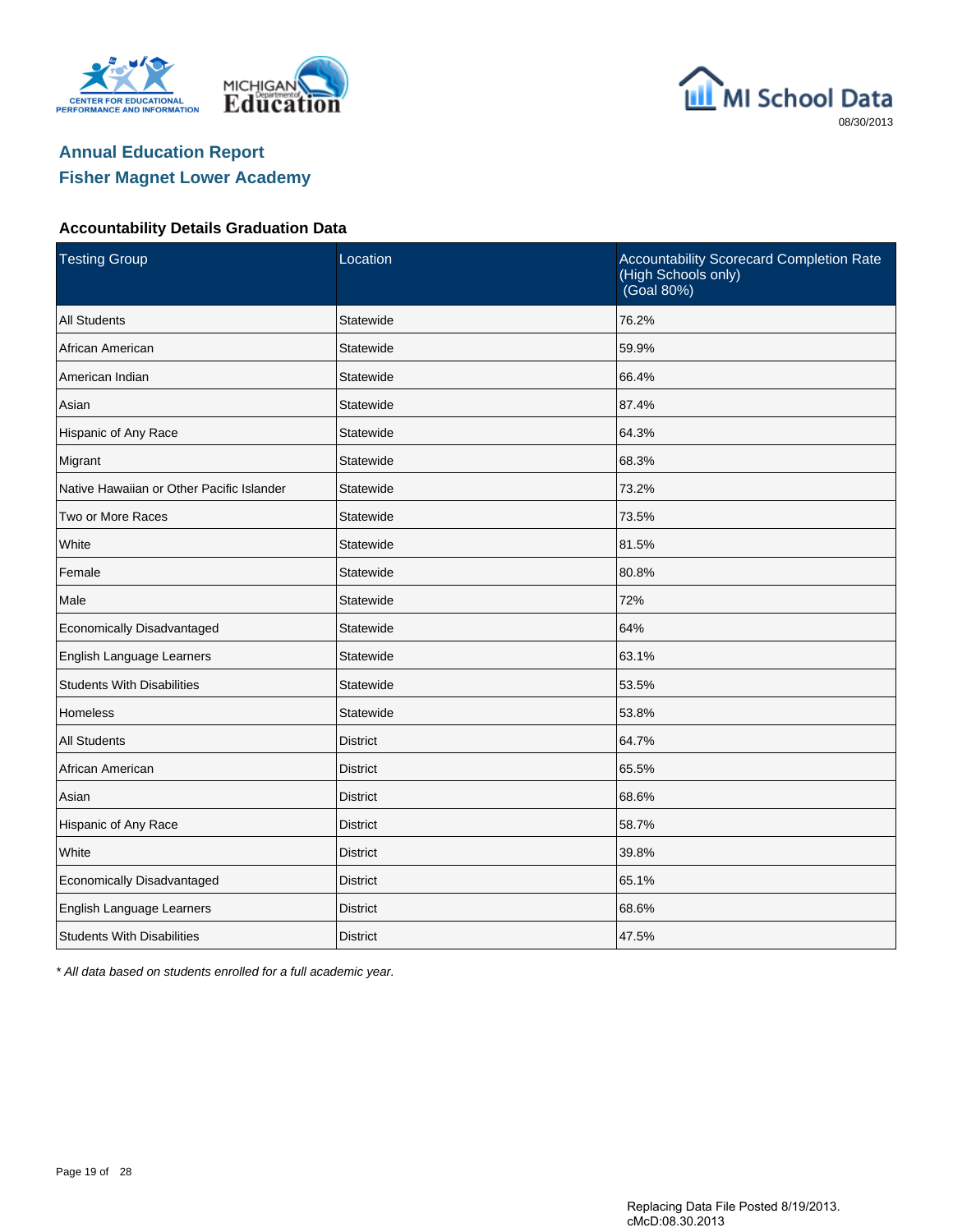





#### **Accountability Details Graduation Data**

| <b>Testing Group</b>                      | Location        | Accountability Scorecard Completion Rate<br>(High Schools only)<br>(Goal 80%) |
|-------------------------------------------|-----------------|-------------------------------------------------------------------------------|
| <b>All Students</b>                       | Statewide       | 76.2%                                                                         |
| African American                          | Statewide       | 59.9%                                                                         |
| American Indian                           | Statewide       | 66.4%                                                                         |
| Asian                                     | Statewide       | 87.4%                                                                         |
| Hispanic of Any Race                      | Statewide       | 64.3%                                                                         |
| Migrant                                   | Statewide       | 68.3%                                                                         |
| Native Hawaiian or Other Pacific Islander | Statewide       | 73.2%                                                                         |
| Two or More Races                         | Statewide       | 73.5%                                                                         |
| White                                     | Statewide       | 81.5%                                                                         |
| Female                                    | Statewide       | 80.8%                                                                         |
| Male                                      | Statewide       | 72%                                                                           |
| Economically Disadvantaged                | Statewide       | 64%                                                                           |
| English Language Learners                 | Statewide       | 63.1%                                                                         |
| <b>Students With Disabilities</b>         | Statewide       | 53.5%                                                                         |
| Homeless                                  | Statewide       | 53.8%                                                                         |
| <b>All Students</b>                       | <b>District</b> | 64.7%                                                                         |
| African American                          | <b>District</b> | 65.5%                                                                         |
| Asian                                     | <b>District</b> | 68.6%                                                                         |
| Hispanic of Any Race                      | <b>District</b> | 58.7%                                                                         |
| White                                     | <b>District</b> | 39.8%                                                                         |
| Economically Disadvantaged                | <b>District</b> | 65.1%                                                                         |
| English Language Learners                 | <b>District</b> | 68.6%                                                                         |
| <b>Students With Disabilities</b>         | <b>District</b> | 47.5%                                                                         |

\* All data based on students enrolled for a full academic year.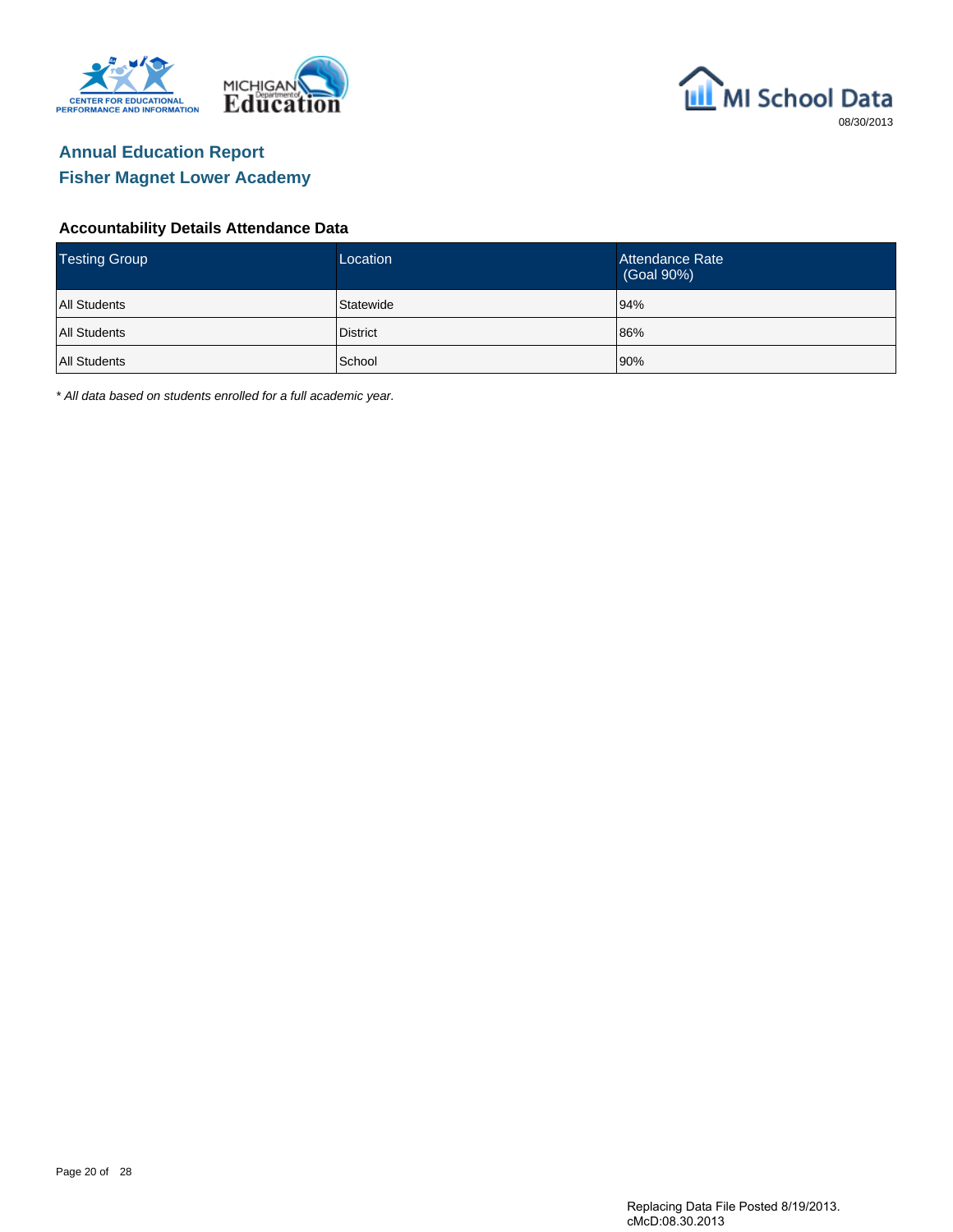





#### **Accountability Details Attendance Data**

| <b>Testing Group</b> | Location        | Attendance Rate<br>(Goal 90%) |
|----------------------|-----------------|-------------------------------|
| <b>All Students</b>  | Statewide       | 94%                           |
| <b>All Students</b>  | <b>District</b> | 86%                           |
| <b>All Students</b>  | School          | 90%                           |

\* All data based on students enrolled for a full academic year.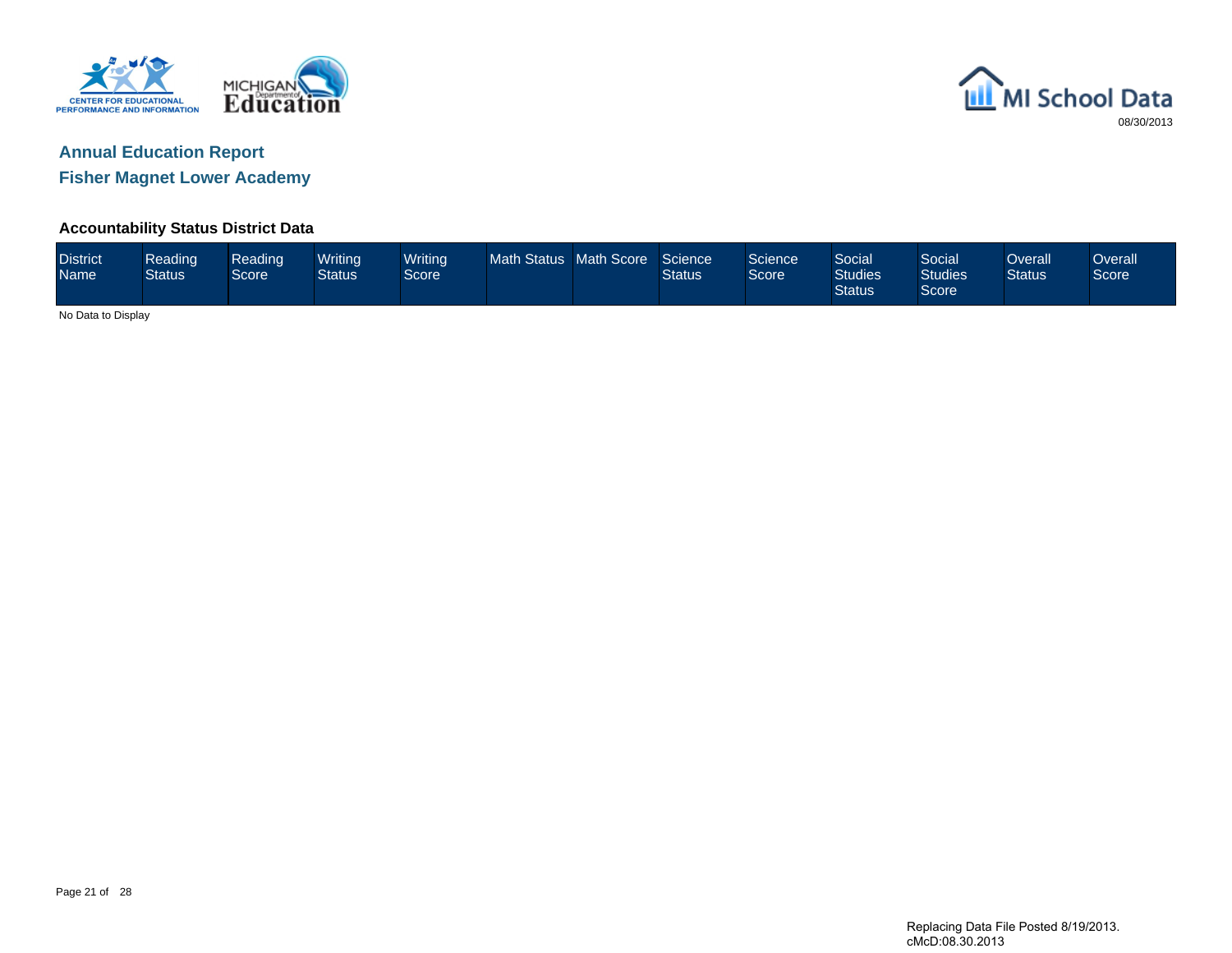



**Fisher Magnet Lower Academy**

#### **Accountability Status District Data**

| <b>District</b><br><b>Name</b> | Reading<br><b>Status</b> | Reading<br><b>Score</b> | Writina<br>Status | Writing<br>Score <sup>1</sup> | <b>Math Status</b> | Math Score | Science<br><b>Status</b> | Science<br>Score | <b>Social</b><br><b>Studies</b><br><b>Status</b> | Social<br><b>Studies</b><br>Score | )verall<br><b>Status</b> | <b>Overall</b><br>Score |
|--------------------------------|--------------------------|-------------------------|-------------------|-------------------------------|--------------------|------------|--------------------------|------------------|--------------------------------------------------|-----------------------------------|--------------------------|-------------------------|
| No Data to Display             |                          |                         |                   |                               |                    |            |                          |                  |                                                  |                                   |                          |                         |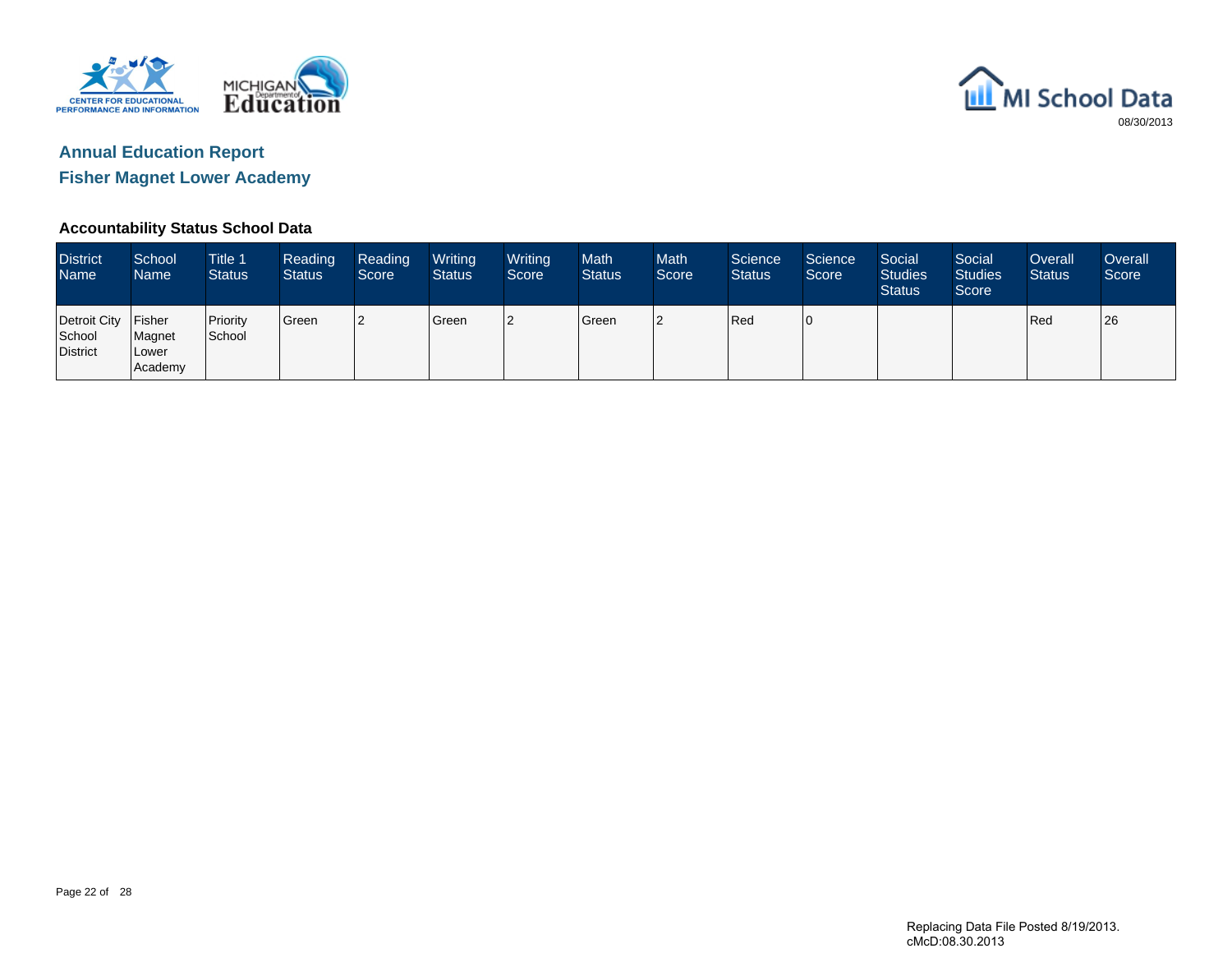



#### **Accountability Status School Data**

| <b>District</b><br>l Name <sup>1</sup>    | School<br><b>Name</b>      | Title 1<br><b>Status</b> | Reading<br>Status <sup>1</sup> | Reading<br>Score | Writing<br><b>Status</b> | Writing<br>Score | <b>Math</b><br><b>Status</b> | <b>Math</b><br>Score | Science<br><b>Status</b> | Science<br>Score | Social<br><b>Studies</b><br><b>Status</b> | Social<br><b>Studies</b><br>Score | Overall<br><b>Status</b> | Overall<br>Score |
|-------------------------------------------|----------------------------|--------------------------|--------------------------------|------------------|--------------------------|------------------|------------------------------|----------------------|--------------------------|------------------|-------------------------------------------|-----------------------------------|--------------------------|------------------|
| Detroit City Fisher<br>School<br>District | Magnet<br>Lower<br>Academy | Priority<br>School       | Green                          | 2                | Green                    | 2                | Green                        | 12                   | Red                      | 10               |                                           |                                   | Red                      | 26               |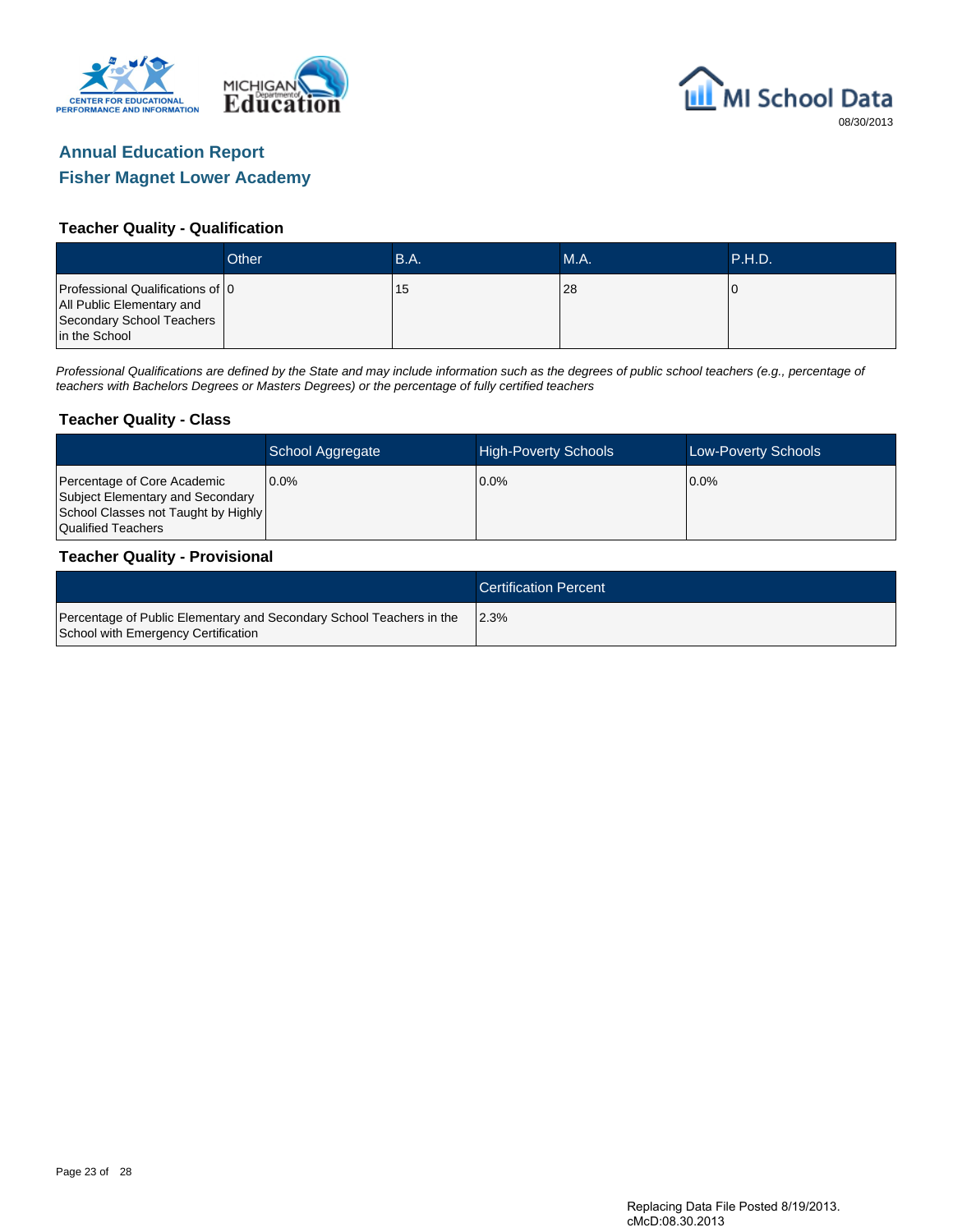



#### **Teacher Quality - Qualification**

|                                                                                                             | Other | B.A. | <b>M.A.</b> | P.H.D. |
|-------------------------------------------------------------------------------------------------------------|-------|------|-------------|--------|
| Professional Qualifications of 0<br>All Public Elementary and<br>Secondary School Teachers<br>in the School |       | 15   | 28          |        |

Professional Qualifications are defined by the State and may include information such as the degrees of public school teachers (e.g., percentage of teachers with Bachelors Degrees or Masters Degrees) or the percentage of fully certified teachers

#### **Teacher Quality - Class**

|                                                                                                                              | School Aggregate | <b>High-Poverty Schools</b> | <b>Low-Poverty Schools</b> |
|------------------------------------------------------------------------------------------------------------------------------|------------------|-----------------------------|----------------------------|
| Percentage of Core Academic<br>Subject Elementary and Secondary<br>School Classes not Taught by Highly<br>Qualified Teachers | $0.0\%$          | $0.0\%$                     | $0.0\%$                    |

#### **Teacher Quality - Provisional**

|                                                                                                             | <b>Certification Percent</b> |
|-------------------------------------------------------------------------------------------------------------|------------------------------|
| Percentage of Public Elementary and Secondary School Teachers in the<br>School with Emergency Certification | 12.3%                        |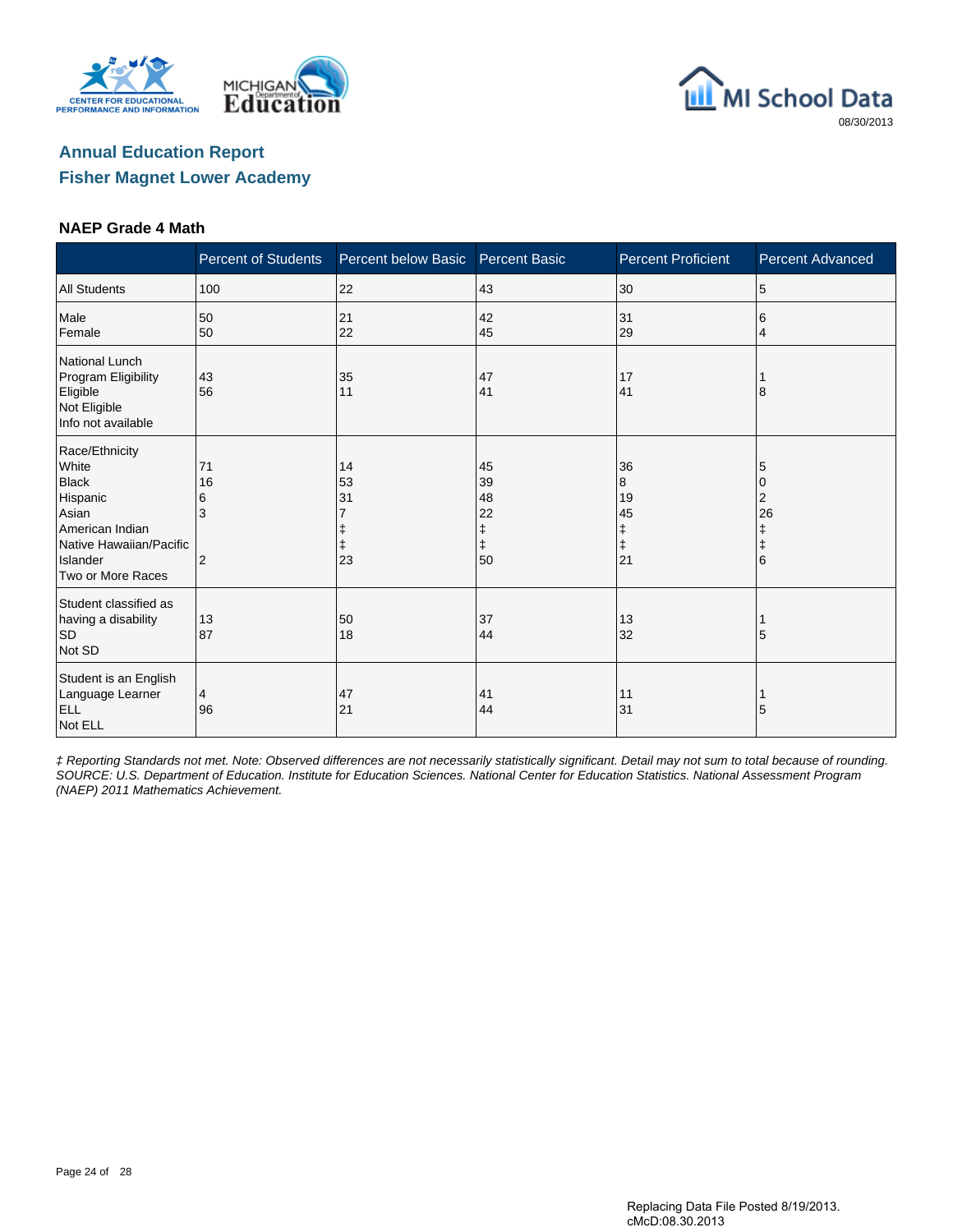





#### **NAEP Grade 4 Math**

|                                                                                                                                             | <b>Percent of Students</b>           | Percent below Basic  | <b>Percent Basic</b>                 | <b>Percent Proficient</b>                    | <b>Percent Advanced</b>                   |
|---------------------------------------------------------------------------------------------------------------------------------------------|--------------------------------------|----------------------|--------------------------------------|----------------------------------------------|-------------------------------------------|
| <b>All Students</b>                                                                                                                         | 100                                  | 22                   | 43                                   | 30                                           | 5                                         |
| Male<br>Female                                                                                                                              | 50<br>50                             | 21<br>22             | 42<br>45                             | 31<br>29                                     | 6<br>4                                    |
| <b>National Lunch</b><br>Program Eligibility<br>Eligible<br>Not Eligible<br>Info not available                                              | 43<br>56                             | 35<br>11             | 47<br>41                             | 17<br>41                                     | 8                                         |
| Race/Ethnicity<br>White<br><b>Black</b><br>Hispanic<br>Asian<br>American Indian<br>Native Hawaiian/Pacific<br>Islander<br>Two or More Races | 71<br>16<br>6<br>3<br>$\overline{2}$ | 14<br>53<br>31<br>23 | 45<br>39<br>48<br>22<br>ŧ<br>ŧ<br>50 | 36<br>8<br>19<br>45<br>ŧ<br>$\ddagger$<br>21 | 5<br>0<br>2<br>26<br>ŧ<br>$\ddagger$<br>6 |
| Student classified as<br>having a disability<br><b>SD</b><br>Not SD                                                                         | 13<br>87                             | 50<br>18             | 37<br>44                             | 13<br>32                                     | 5                                         |
| Student is an English<br>Language Learner<br><b>ELL</b><br>Not ELL                                                                          | 4<br>96                              | 47<br>21             | 41<br>44                             | 11<br>31                                     | 5                                         |

‡ Reporting Standards not met. Note: Observed differences are not necessarily statistically significant. Detail may not sum to total because of rounding. SOURCE: U.S. Department of Education. Institute for Education Sciences. National Center for Education Statistics. National Assessment Program (NAEP) 2011 Mathematics Achievement.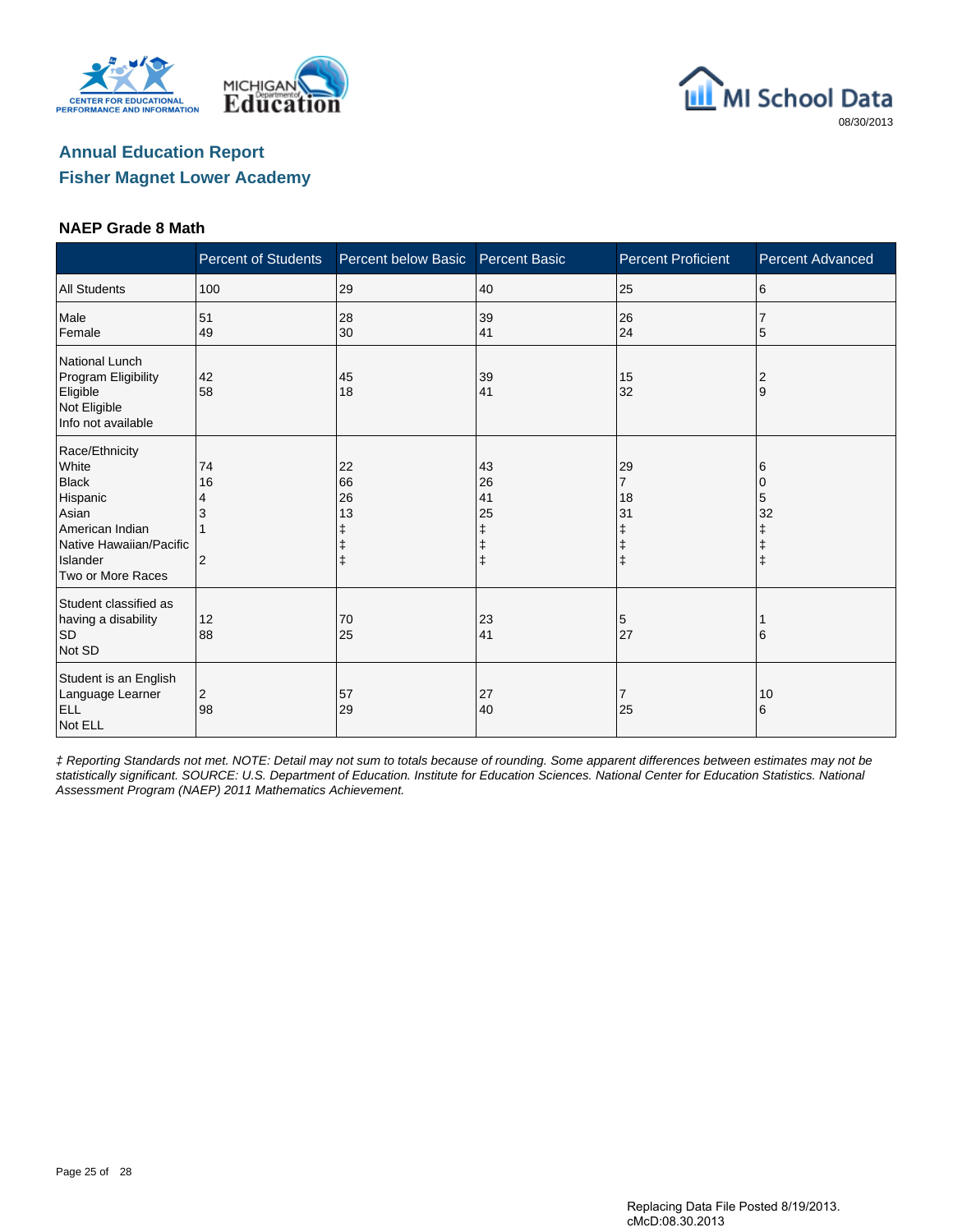





#### **NAEP Grade 8 Math**

|                                                                                                                                             | <b>Percent of Students</b> | Percent below Basic                | <b>Percent Basic</b>                | <b>Percent Proficient</b>                                | <b>Percent Advanced</b>         |
|---------------------------------------------------------------------------------------------------------------------------------------------|----------------------------|------------------------------------|-------------------------------------|----------------------------------------------------------|---------------------------------|
| <b>All Students</b>                                                                                                                         | 100                        | 29                                 | 40                                  | 25                                                       | 6                               |
| Male<br>Female                                                                                                                              | 51<br>49                   | 28<br>30                           | 39<br>41                            | 26<br>24                                                 | 5                               |
| <b>National Lunch</b><br>Program Eligibility<br>Eligible<br>Not Eligible<br>Info not available                                              | 42<br>58                   | 45<br>18                           | 39<br>41                            | 15<br>32                                                 | 2<br>9                          |
| Race/Ethnicity<br>White<br><b>Black</b><br>Hispanic<br>Asian<br>American Indian<br>Native Hawaiian/Pacific<br>Islander<br>Two or More Races | 74<br>16<br>4<br>2         | 22<br>66<br>26<br>13<br>$\ddagger$ | 43<br>26<br>41<br>25<br>ŧ<br>ŧ<br>ŧ | 29<br>$\overline{7}$<br>18<br>31<br>ŧ<br>ŧ<br>$\ddagger$ | 6<br>0<br>5<br>32<br>$\ddagger$ |
| Student classified as<br>having a disability<br><b>SD</b><br>Not SD                                                                         | 12<br>88                   | 70<br>25                           | 23<br>41                            | 5<br>27                                                  | 6                               |
| Student is an English<br>Language Learner<br><b>ELL</b><br>Not ELL                                                                          | $\overline{c}$<br>98       | 57<br>29                           | 27<br>40                            | 7<br>25                                                  | 10<br>6                         |

‡ Reporting Standards not met. NOTE: Detail may not sum to totals because of rounding. Some apparent differences between estimates may not be statistically significant. SOURCE: U.S. Department of Education. Institute for Education Sciences. National Center for Education Statistics. National Assessment Program (NAEP) 2011 Mathematics Achievement.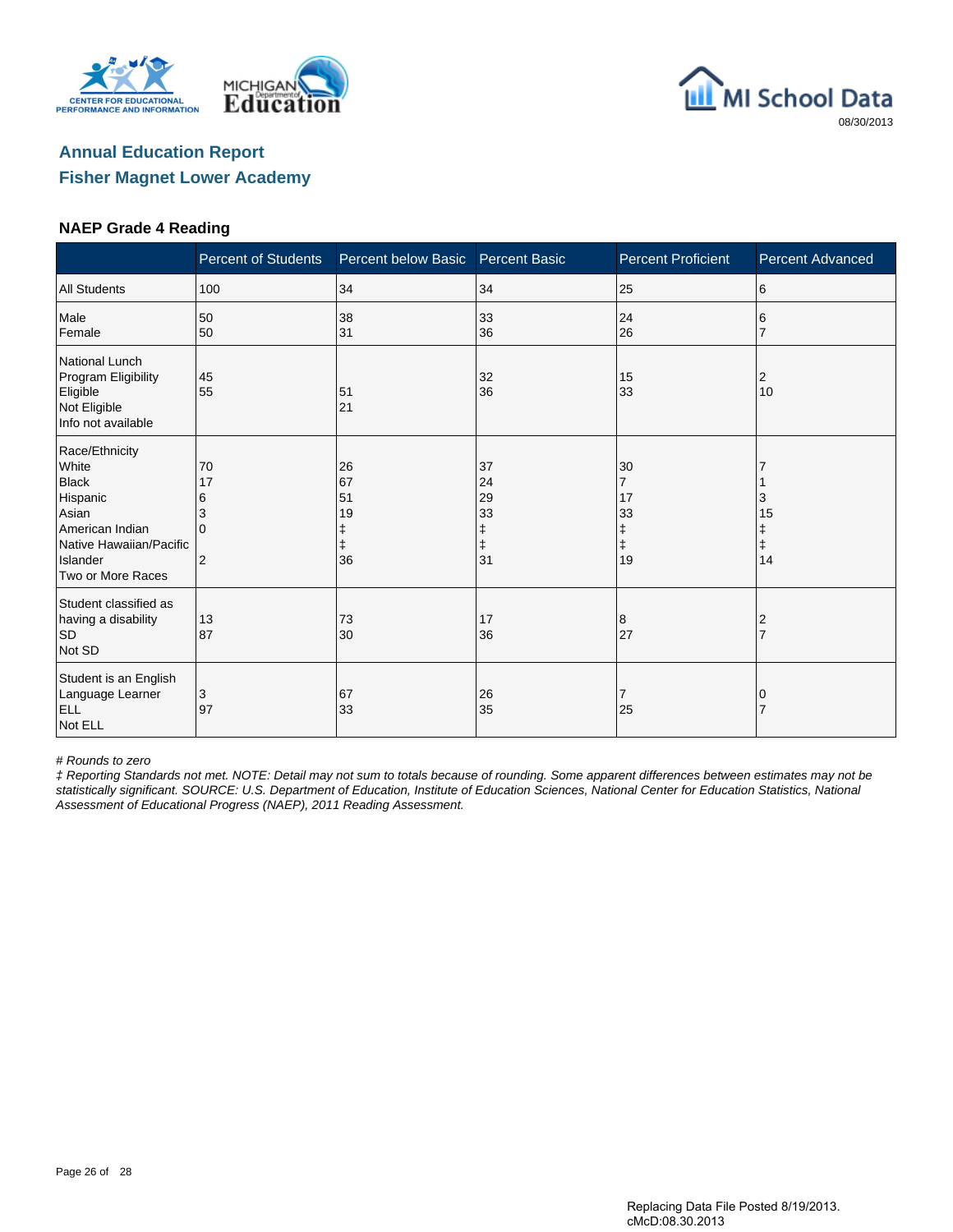





#### **NAEP Grade 4 Reading**

|                                                                                                                                             | <b>Percent of Students</b>          | Percent below Basic                           | <b>Percent Basic</b>                          | <b>Percent Proficient</b>                                 | <b>Percent Advanced</b>          |
|---------------------------------------------------------------------------------------------------------------------------------------------|-------------------------------------|-----------------------------------------------|-----------------------------------------------|-----------------------------------------------------------|----------------------------------|
| <b>All Students</b>                                                                                                                         | 100                                 | 34                                            | 34                                            | 25                                                        | 6                                |
| Male<br>Female                                                                                                                              | 50<br>50                            | 38<br>31                                      | 33<br>36                                      | 24<br>26                                                  | 6                                |
| National Lunch<br>Program Eligibility<br>Eligible<br>Not Eligible<br>Info not available                                                     | 45<br>55                            | 51<br>21                                      | 32<br>36                                      | 15<br>33                                                  | 2<br>10                          |
| Race/Ethnicity<br>White<br><b>Black</b><br>Hispanic<br>Asian<br>American Indian<br>Native Hawaiian/Pacific<br>Islander<br>Two or More Races | 70<br>17<br>6<br>3<br>$\Omega$<br>2 | 26<br>67<br>51<br>19<br>ŧ<br>$\ddagger$<br>36 | 37<br>24<br>29<br>33<br>ŧ<br>$\ddagger$<br>31 | 30<br>$\overline{7}$<br>17<br>33<br>ŧ<br>$\ddagger$<br>19 | 3<br>15<br>ŧ<br>$\ddagger$<br>14 |
| Student classified as<br>having a disability<br><b>SD</b><br>Not SD                                                                         | 13<br>87                            | 73<br>30                                      | 17<br>36                                      | 8<br>27                                                   | 2<br>$\overline{7}$              |
| Student is an English<br>Language Learner<br><b>ELL</b><br>Not ELL                                                                          | 3<br>97                             | 67<br>33                                      | 26<br>35                                      | 7<br>25                                                   | 0                                |

# Rounds to zero

‡ Reporting Standards not met. NOTE: Detail may not sum to totals because of rounding. Some apparent differences between estimates may not be statistically significant. SOURCE: U.S. Department of Education, Institute of Education Sciences, National Center for Education Statistics, National Assessment of Educational Progress (NAEP), 2011 Reading Assessment.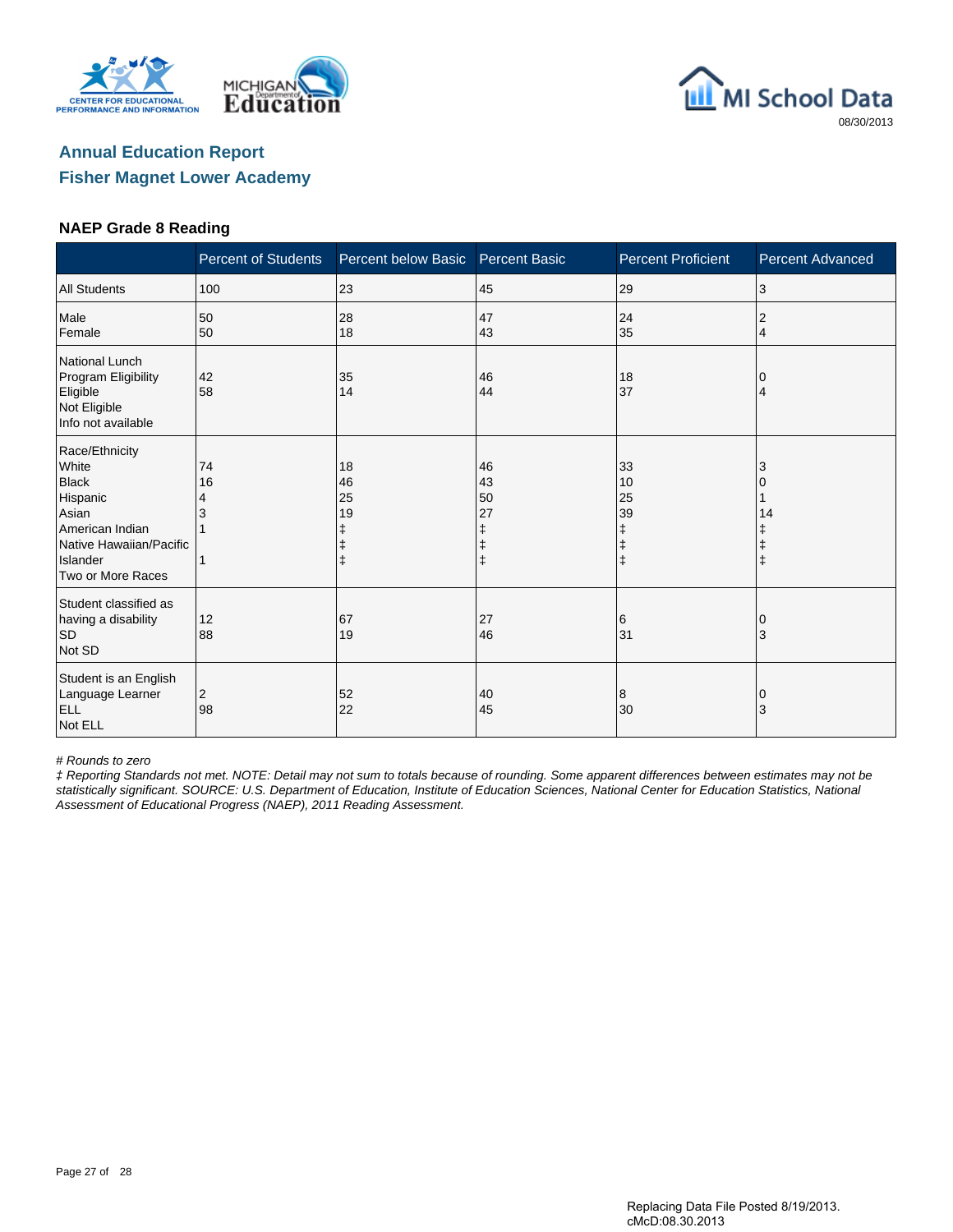





#### **NAEP Grade 8 Reading**

|                                                                                                                                             | <b>Percent of Students</b> | Percent below Basic                              | <b>Percent Basic</b> | <b>Percent Proficient</b>                             | <b>Percent Advanced</b> |
|---------------------------------------------------------------------------------------------------------------------------------------------|----------------------------|--------------------------------------------------|----------------------|-------------------------------------------------------|-------------------------|
| <b>All Students</b>                                                                                                                         | 100                        | 23                                               | 45                   | 29                                                    | 3                       |
| Male<br>Female                                                                                                                              | 50<br>50                   | 28<br>18                                         | 47<br>43             | 24<br>35                                              | $\overline{2}$<br>4     |
| National Lunch<br>Program Eligibility<br>Eligible<br>Not Eligible<br>Info not available                                                     | 42<br>58                   | 35<br>14                                         | 46<br>44             | 18<br>37                                              | 4                       |
| Race/Ethnicity<br>White<br><b>Black</b><br>Hispanic<br>Asian<br>American Indian<br>Native Hawaiian/Pacific<br>Islander<br>Two or More Races | 74<br>16<br>4<br>1         | 18<br>46<br>25<br>19<br>$\ddagger$<br>$\ddagger$ | 46<br>43<br>50<br>27 | 33<br>10<br>25<br>39<br>ŧ<br>$\ddagger$<br>$\ddagger$ | 3<br>14<br>$\ddagger$   |
| Student classified as<br>having a disability<br><b>SD</b><br>Not SD                                                                         | 12<br>88                   | 67<br>19                                         | 27<br>46             | 6<br>31                                               | 10<br>3                 |
| Student is an English<br>Language Learner<br><b>ELL</b><br>Not ELL                                                                          | 2<br>98                    | 52<br>22                                         | 40<br>45             | 8<br>30                                               | 0<br>3                  |

# Rounds to zero

‡ Reporting Standards not met. NOTE: Detail may not sum to totals because of rounding. Some apparent differences between estimates may not be statistically significant. SOURCE: U.S. Department of Education, Institute of Education Sciences, National Center for Education Statistics, National Assessment of Educational Progress (NAEP), 2011 Reading Assessment.